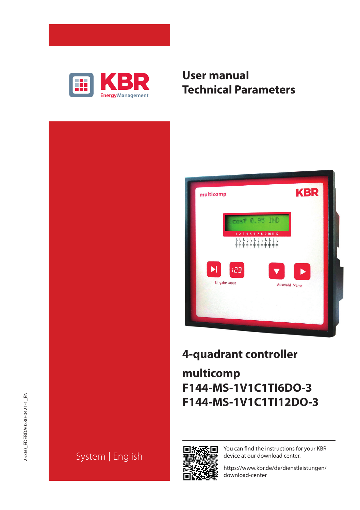

# **User manual Technical Parameters**





# **4-quadrant controller**

# **multicomp F144-MS-1V1C1TI6DO-3 F144-MS-1V1C1TI12DO-3**



You can find the instructions for your KBR device at our download center.

https://www.kbr.de/de/dienstleistungen/ download-center

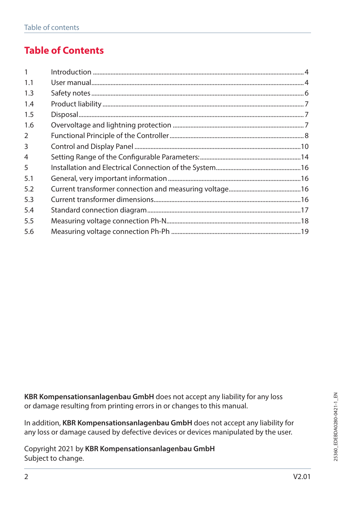# **Table of Contents**

| $\mathbf{1}$   |  |
|----------------|--|
| 1.1            |  |
| 1.3            |  |
| 1.4            |  |
| 1.5            |  |
| 1.6            |  |
| 2              |  |
| 3              |  |
| $\overline{4}$ |  |
| 5              |  |
| 5.1            |  |
| 5.2            |  |
| 5.3            |  |
| 5.4            |  |
| 5.5            |  |
| 5.6            |  |

**KBR Kompensationsanlagenbau GmbH** does not accept any liability for any loss or damage resulting from printing errors in or changes to this manual.

In addition, **KBR Kompensationsanlagenbau GmbH** does not accept any liability for any loss or damage caused by defective devices or devices manipulated by the user.

Copyright 2021 by **KBR Kompensationsanlagenbau GmbH** Subject to change.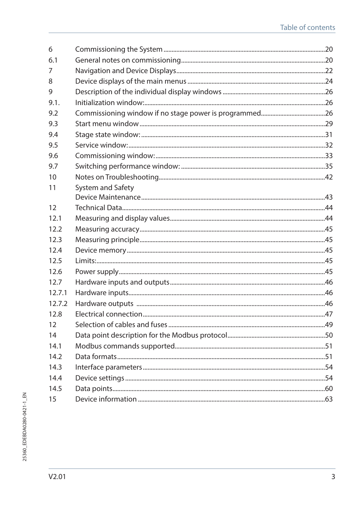| 6      |                   |  |
|--------|-------------------|--|
| 6.1    |                   |  |
| 7      |                   |  |
| 8      |                   |  |
| 9      |                   |  |
| 9.1.   |                   |  |
| 9.2    |                   |  |
| 9.3    |                   |  |
| 9.4    |                   |  |
| 9.5    |                   |  |
| 9.6    |                   |  |
| 9.7    |                   |  |
| 10     |                   |  |
| 11     | System and Safety |  |
|        |                   |  |
| 12     |                   |  |
| 12.1   |                   |  |
| 12.2   |                   |  |
| 12.3   |                   |  |
| 12.4   |                   |  |
| 12.5   |                   |  |
| 12.6   |                   |  |
| 12.7   |                   |  |
| 12.7.1 |                   |  |
| 12.7.2 |                   |  |
| 12.8   |                   |  |
| 12     |                   |  |
| 14     |                   |  |
| 14.1   |                   |  |
| 14.2   |                   |  |
| 14.3   |                   |  |
| 14.4   |                   |  |
| 14.5   |                   |  |
| 15     |                   |  |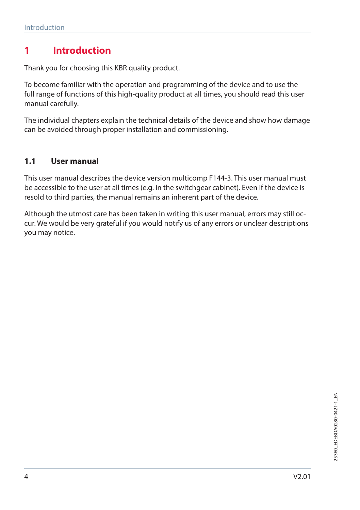# **1 Introduction**

Thank you for choosing this KBR quality product.

To become familiar with the operation and programming of the device and to use the full range of functions of this high-quality product at all times, you should read this user manual carefully.

The individual chapters explain the technical details of the device and show how damage can be avoided through proper installation and commissioning.

#### **1.1 User manual**

This user manual describes the device version multicomp F144-3. This user manual must be accessible to the user at all times (e.g. in the switchgear cabinet). Even if the device is resold to third parties, the manual remains an inherent part of the device.

Although the utmost care has been taken in writing this user manual, errors may still occur. We would be very grateful if you would notify us of any errors or unclear descriptions you may notice.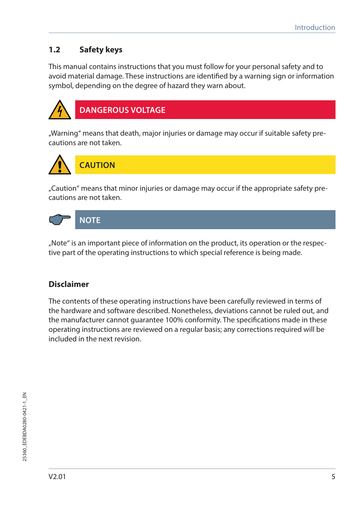# **1.2 Safety keys**

This manual contains instructions that you must follow for your personal safety and to avoid material damage. These instructions are identified by a warning sign or information symbol, depending on the degree of hazard they warn about.



**DANGEROUS VOLTAGE**

"Warning" means that death, major injuries or damage may occur if suitable safety precautions are not taken.



"Caution" means that minor injuries or damage may occur if the appropriate safety precautions are not taken.



"Note" is an important piece of information on the product, its operation or the respective part of the operating instructions to which special reference is being made.

## **Disclaimer**

The contents of these operating instructions have been carefully reviewed in terms of the hardware and software described. Nonetheless, deviations cannot be ruled out, and the manufacturer cannot guarantee 100% conformity. The specifications made in these operating instructions are reviewed on a regular basis; any corrections required will be included in the next revision.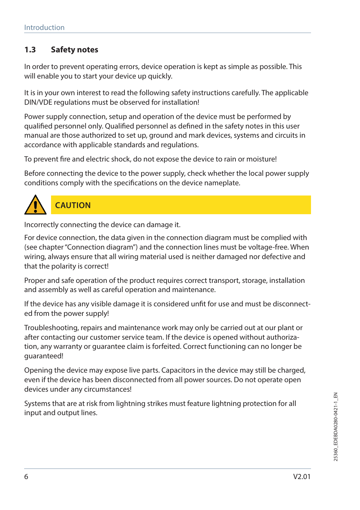# **1.3 Safety notes**

In order to prevent operating errors, device operation is kept as simple as possible. This will enable you to start your device up quickly.

It is in your own interest to read the following safety instructions carefully. The applicable DIN/VDE regulations must be observed for installation!

Power supply connection, setup and operation of the device must be performed by qualified personnel only. Qualified personnel as defined in the safety notes in this user manual are those authorized to set up, ground and mark devices, systems and circuits in accordance with applicable standards and regulations.

To prevent fire and electric shock, do not expose the device to rain or moisture!

Before connecting the device to the power supply, check whether the local power supply conditions comply with the specifications on the device nameplate.



# **CAUTION**

Incorrectly connecting the device can damage it.

For device connection, the data given in the connection diagram must be complied with (see chapter "Connection diagram") and the connection lines must be voltage-free. When wiring, always ensure that all wiring material used is neither damaged nor defective and that the polarity is correct!

Proper and safe operation of the product requires correct transport, storage, installation and assembly as well as careful operation and maintenance.

If the device has any visible damage it is considered unfit for use and must be disconnected from the power supply!

Troubleshooting, repairs and maintenance work may only be carried out at our plant or after contacting our customer service team. If the device is opened without authorization, any warranty or guarantee claim is forfeited. Correct functioning can no longer be guaranteed!

Opening the device may expose live parts. Capacitors in the device may still be charged, even if the device has been disconnected from all power sources. Do not operate open devices under any circumstances!

Systems that are at risk from lightning strikes must feature lightning protection for all input and output lines.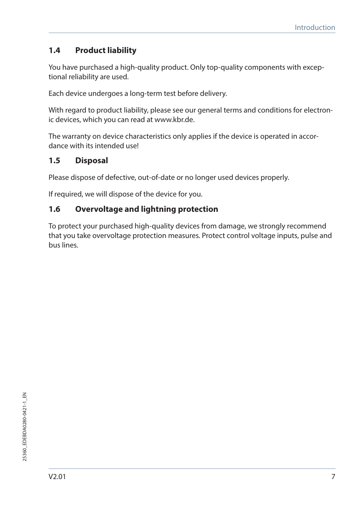# **1.4 Product liability**

You have purchased a high-quality product. Only top-quality components with exceptional reliability are used.

Each device undergoes a long-term test before delivery.

With regard to product liability, please see our general terms and conditions for electronic devices, which you can read at www.kbr.de.

The warranty on device characteristics only applies if the device is operated in accordance with its intended use!

# **1.5 Disposal**

Please dispose of defective, out-of-date or no longer used devices properly.

If required, we will dispose of the device for you.

# **1.6 Overvoltage and lightning protection**

To protect your purchased high-quality devices from damage, we strongly recommend that you take overvoltage protection measures. Protect control voltage inputs, pulse and bus lines.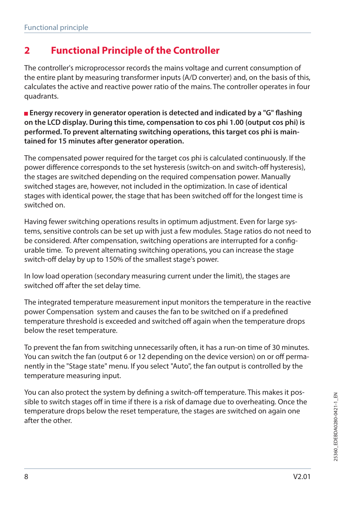# **2 Functional Principle of the Controller**

The controller's microprocessor records the mains voltage and current consumption of the entire plant by measuring transformer inputs (A/D converter) and, on the basis of this, calculates the active and reactive power ratio of the mains. The controller operates in four quadrants.

**Energy recovery in generator operation is detected and indicated by a "G" flashing on the LCD display. During this time, compensation to cos phi 1.00 (output cos phi) is performed. To prevent alternating switching operations, this target cos phi is maintained for 15 minutes after generator operation.**

The compensated power required for the target cos phi is calculated continuously. If the power difference corresponds to the set hysteresis (switch-on and switch-off hysteresis), the stages are switched depending on the required compensation power. Manually switched stages are, however, not included in the optimization. In case of identical stages with identical power, the stage that has been switched off for the longest time is switched on.

Having fewer switching operations results in optimum adjustment. Even for large systems, sensitive controls can be set up with just a few modules. Stage ratios do not need to be considered. After compensation, switching operations are interrupted for a configurable time. To prevent alternating switching operations, you can increase the stage switch-off delay by up to 150% of the smallest stage's power.

In low load operation (secondary measuring current under the limit), the stages are switched off after the set delay time.

The integrated temperature measurement input monitors the temperature in the reactive power Compensation system and causes the fan to be switched on if a predefined temperature threshold is exceeded and switched off again when the temperature drops below the reset temperature.

To prevent the fan from switching unnecessarily often, it has a run-on time of 30 minutes. You can switch the fan (output 6 or 12 depending on the device version) on or off permanently in the "Stage state" menu. If you select "Auto", the fan output is controlled by the temperature measuring input.

You can also protect the system by defining a switch-off temperature. This makes it possible to switch stages off in time if there is a risk of damage due to overheating. Once the temperature drops below the reset temperature, the stages are switched on again one after the other.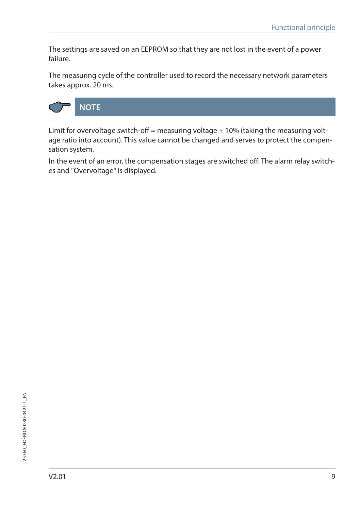The settings are saved on an EEPROM so that they are not lost in the event of a power failure.

The measuring cycle of the controller used to record the necessary network parameters takes approx. 20 ms.



Limit for overvoltage switch-off = measuring voltage  $+10%$  (taking the measuring voltage ratio into account). This value cannot be changed and serves to protect the compensation system.

In the event of an error, the compensation stages are switched off. The alarm relay switches and "Overvoltage" is displayed.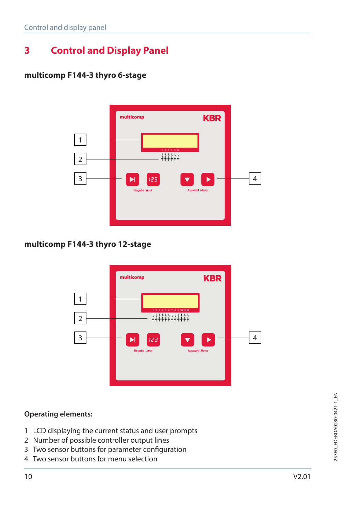# **3 Control and Display Panel**

### **multicomp F144-3 thyro 6-stage**



### **multicomp F144-3 thyro 12-stage**



#### **Operating elements:**

- 1 LCD displaying the current status and user prompts
- 2 Number of possible controller output lines
- 3 Two sensor buttons for parameter configuration
- 4 Two sensor buttons for menu selection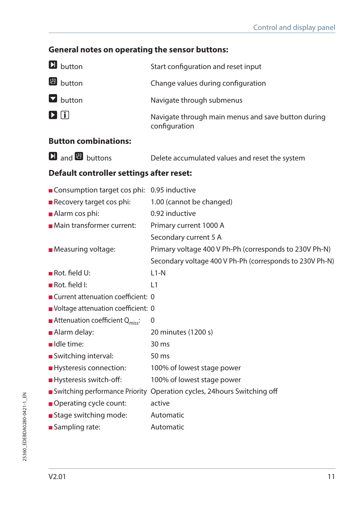# **General notes on operating the sensor buttons:**

| <b>D</b> button                                       | Start configuration and reset input                                     |
|-------------------------------------------------------|-------------------------------------------------------------------------|
| <b>B</b> button                                       | Change values during configuration                                      |
| $\blacksquare$ button                                 | Navigate through submenus                                               |
| $\mathbf{D}$ $\mathbf{E}$                             | Navigate through main menus and save button during<br>configuration     |
| <b>Button combinations:</b>                           |                                                                         |
| $\mathbf{\Omega}$ and $\mathbf{\mathbf{\Xi}}$ buttons | Delete accumulated values and reset the system                          |
| Default controller settings after reset:              |                                                                         |
| Consumption target cos phi: 0.95 inductive            |                                                                         |
| Recovery target cos phi:                              | 1.00 (cannot be changed)                                                |
| Alarm cos phi:                                        | 0.92 inductive                                                          |
| Main transformer current:                             | Primary current 1000 A                                                  |
|                                                       | Secondary current 5 A                                                   |
| <b>Measuring voltage:</b>                             | Primary voltage 400 V Ph-Ph (corresponds to 230V Ph-N)                  |
|                                                       | Secondary voltage 400 V Ph-Ph (corresponds to 230V Ph-N)                |
| $\blacksquare$ Rot. field U:                          | $L1-N$                                                                  |
| Rot. field I:                                         | L1                                                                      |
| ■ Current attenuation coefficient: 0                  |                                                                         |
| Voltage attenuation coefficient: 0                    |                                                                         |
| <b>Attenuation coefficient Q</b> <sub>miss</sub> :    | 0                                                                       |
| Alarm delay:                                          | 20 minutes (1200 s)                                                     |
| Idle time:                                            | $30 \text{ ms}$                                                         |
| Switching interval:                                   | 50 ms                                                                   |
| Hysteresis connection:                                | 100% of lowest stage power                                              |
| Hysteresis switch-off:                                | 100% of lowest stage power                                              |
|                                                       | Switching performance Priority Operation cycles, 24 hours Switching off |
| Operating cycle count:                                | active                                                                  |
| Stage switching mode:                                 | Automatic                                                               |
| Sampling rate:                                        | Automatic                                                               |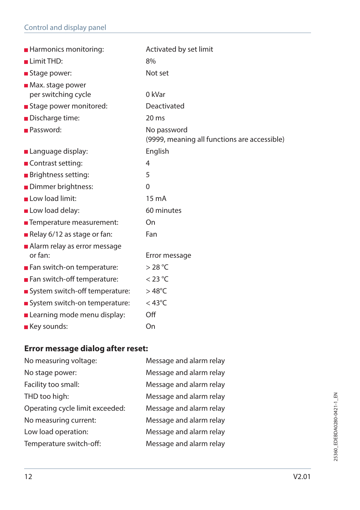| <b>Harmonics monitoring:</b>            | Activated by set limit                                      |
|-----------------------------------------|-------------------------------------------------------------|
| Limit THD:                              | 8%                                                          |
| Stage power:                            | Not set                                                     |
| $\blacksquare$ Max. stage power         |                                                             |
| per switching cycle                     | 0 kVar                                                      |
| Stage power monitored:                  | Deactivated                                                 |
| Discharge time:                         | 20 <sub>ms</sub>                                            |
| <b>Password:</b>                        | No password<br>(9999, meaning all functions are accessible) |
| <b>Language display:</b>                | English                                                     |
| <b>■ Contrast setting:</b>              | 4                                                           |
| <b>Brightness setting:</b>              | 5                                                           |
| Dimmer brightness:                      | $\Omega$                                                    |
| Low load limit:                         | 15 <sub>m</sub> A                                           |
| Low load delay:                         | 60 minutes                                                  |
| ■ Temperature measurement:              | On                                                          |
| Relay 6/12 as stage or fan:             | Fan                                                         |
| Alarm relay as error message<br>or fan: | Error message                                               |
| Fan switch-on temperature:              | $>$ 28 °C                                                   |
| Fan switch-off temperature:             | $<$ 23 °C                                                   |
| System switch-off temperature:          | $>48^{\circ}$ C                                             |
| System switch-on temperature:           | $<$ 43°C                                                    |
|                                         | Off                                                         |
| Learning mode menu display:             |                                                             |
| <b>Key sounds:</b>                      | On                                                          |

# **Error message dialog after reset:**

| No measuring voltage:           | Message and alarm relay |
|---------------------------------|-------------------------|
| No stage power:                 | Message and alarm relay |
| Facility too small:             | Message and alarm relay |
| THD too high:                   | Message and alarm relay |
| Operating cycle limit exceeded: | Message and alarm relay |
| No measuring current:           | Message and alarm relay |
| Low load operation:             | Message and alarm relay |
| Temperature switch-off:         | Message and alarm relay |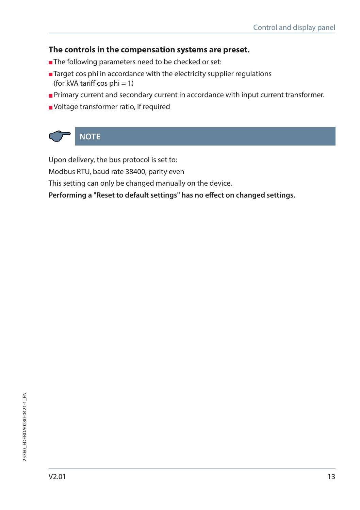### **The controls in the compensation systems are preset.**

- The following parameters need to be checked or set:
- Target cos phi in accordance with the electricity supplier regulations (for kVA tariff cos  $phi = 1$ )
- **Primary current and secondary current in accordance with input current transformer.**
- Voltage transformer ratio, if required



Upon delivery, the bus protocol is set to:

Modbus RTU, baud rate 38400, parity even

This setting can only be changed manually on the device.

**Performing a "Reset to default settings" has no effect on changed settings.**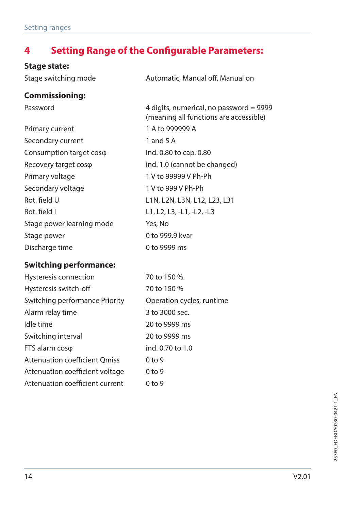# **4 Setting Range of the Configurable Parameters:**

# **Stage state:**

| Stage switching mode          | Automatic, Manual off, Manual on                                                  |  |  |  |
|-------------------------------|-----------------------------------------------------------------------------------|--|--|--|
| <b>Commissioning:</b>         |                                                                                   |  |  |  |
| Password                      | 4 digits, numerical, no password = 9999<br>(meaning all functions are accessible) |  |  |  |
| Primary current               | 1 A to 999999 A                                                                   |  |  |  |
| Secondary current             | 1 and 5 A                                                                         |  |  |  |
| Consumption target coso       | ind. 0.80 to cap. 0.80                                                            |  |  |  |
| Recovery target coso          | ind. 1.0 (cannot be changed)                                                      |  |  |  |
| Primary voltage               | 1 V to 99999 V Ph-Ph                                                              |  |  |  |
| Secondary voltage             | 1 V to 999 V Ph-Ph                                                                |  |  |  |
| Rot. field U                  | L1N, L2N, L3N, L12, L23, L31                                                      |  |  |  |
| Rot. field I                  | L1, L2, L3, -L1, -L2, -L3                                                         |  |  |  |
| Stage power learning mode     | Yes, No                                                                           |  |  |  |
| Stage power                   | 0 to 999.9 kvar                                                                   |  |  |  |
| Discharge time                | 0 to 9999 ms                                                                      |  |  |  |
| <b>Switching performance:</b> |                                                                                   |  |  |  |
| Hysteresis connection         | 70 to 150 %                                                                       |  |  |  |

| Hysteresis connection                | $70$ to 150 %             |
|--------------------------------------|---------------------------|
| Hysteresis switch-off                | 70 to 150 %               |
| Switching performance Priority       | Operation cycles, runtime |
| Alarm relay time                     | 3 to 3000 sec.            |
| Idle time                            | 20 to 9999 ms             |
| Switching interval                   | 20 to 9999 ms             |
| FTS alarm coso                       | ind. 0.70 to 1.0          |
| <b>Attenuation coefficient Qmiss</b> | 0 <sub>to</sub> 9         |
| Attenuation coefficient voltage      | 0 <sub>to</sub> 9         |
| Attenuation coefficient current      | 0 <sub>to</sub> 9         |
|                                      |                           |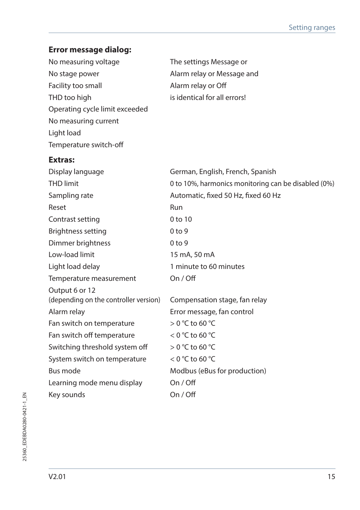# **Error message dialog:**

| No measuring voltage                  | The settings Message or                             |
|---------------------------------------|-----------------------------------------------------|
| No stage power                        | Alarm relay or Message and                          |
| Facility too small                    | Alarm relay or Off                                  |
| THD too high                          | is identical for all errors!                        |
| Operating cycle limit exceeded        |                                                     |
| No measuring current                  |                                                     |
| Light load                            |                                                     |
| Temperature switch-off                |                                                     |
| <b>Extras:</b>                        |                                                     |
| Display language                      | German, English, French, Spanish                    |
| <b>THD</b> limit                      | 0 to 10%, harmonics monitoring can be disabled (0%) |
| Sampling rate                         | Automatic, fixed 50 Hz, fixed 60 Hz                 |
| Reset                                 | Run                                                 |
| Contrast setting                      | $0$ to $10$                                         |
| Brightness setting                    | 0 <sub>to</sub> 9                                   |
| Dimmer brightness                     | 0 <sub>to</sub> 9                                   |
| Low-load limit                        | 15 mA, 50 mA                                        |
| Light load delay                      | 1 minute to 60 minutes                              |
| Temperature measurement               | On / Off                                            |
| Output 6 or 12                        |                                                     |
| (depending on the controller version) | Compensation stage, fan relay                       |
| Alarm relay                           | Error message, fan control                          |
| Fan switch on temperature             | $>$ 0 °C to 60 °C                                   |
| Fan switch off temperature            | $<$ 0 °C to 60 °C                                   |
| Switching threshold system off        | $>$ 0 °C to 60 °C                                   |
| System switch on temperature          | $<$ 0 °C to 60 °C                                   |
| Bus mode                              | Modbus (eBus for production)                        |
| Learning mode menu display            | On / Off                                            |
| Key sounds                            | On / Off                                            |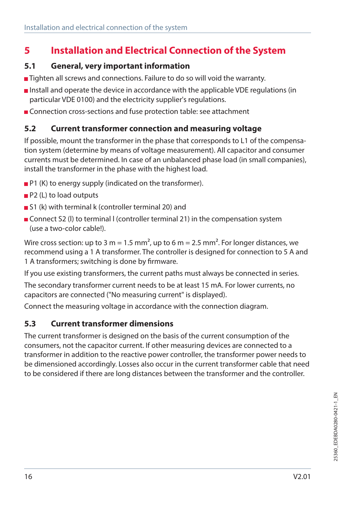# **5 Installation and Electrical Connection of the System**

### **5.1 General, very important information**

- Tighten all screws and connections. Failure to do so will void the warranty.
- Install and operate the device in accordance with the applicable VDE regulations (in particular VDE 0100) and the electricity supplier's regulations.
- **Connection cross-sections and fuse protection table: see attachment**

## **5.2 Current transformer connection and measuring voltage**

If possible, mount the transformer in the phase that corresponds to L1 of the compensation system (determine by means of voltage measurement). All capacitor and consumer currents must be determined. In case of an unbalanced phase load (in small companies), install the transformer in the phase with the highest load.

- **P1** (K) to energy supply (indicated on the transformer).
- **P2** (L) to load outputs
- S1 (k) with terminal k (controller terminal 20) and
- Connect S2 (I) to terminal I (controller terminal 21) in the compensation system (use a two-color cable!).

Wire cross section: up to 3 m = 1.5 mm<sup>2</sup>, up to 6 m = 2.5 mm<sup>2</sup>. For longer distances, we recommend using a 1 A transformer. The controller is designed for connection to 5 A and 1 A transformers; switching is done by firmware.

If you use existing transformers, the current paths must always be connected in series.

The secondary transformer current needs to be at least 15 mA. For lower currents, no capacitors are connected ("No measuring current" is displayed).

Connect the measuring voltage in accordance with the connection diagram.

## **5.3 Current transformer dimensions**

The current transformer is designed on the basis of the current consumption of the consumers, not the capacitor current. If other measuring devices are connected to a transformer in addition to the reactive power controller, the transformer power needs to be dimensioned accordingly. Losses also occur in the current transformer cable that need to be considered if there are long distances between the transformer and the controller.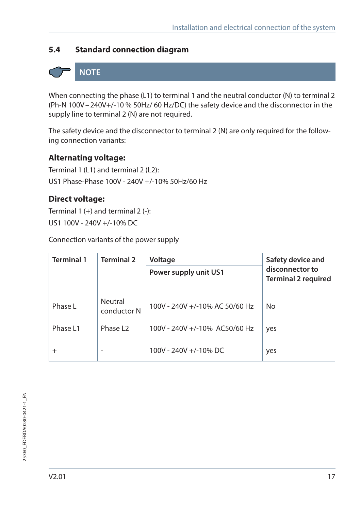# **5.4 Standard connection diagram**

# **NOTE**

When connecting the phase (L1) to terminal 1 and the neutral conductor (N) to terminal 2 (Ph-N 100V–240V+/-10 % 50Hz/ 60 Hz/DC) the safety device and the disconnector in the supply line to terminal 2 (N) are not required.

The safety device and the disconnector to terminal 2 (N) are only required for the following connection variants:

### **Alternating voltage:**

Terminal 1 (L1) and terminal 2 (L2): US1 Phase-Phase 100V - 240V +/-10% 50Hz/60 Hz

### **Direct voltage:**

Terminal  $1 (+)$  and terminal  $2 (-)$ : US1 100V - 240V +/-10% DC

Connection variants of the power supply

| <b>Terminal 1</b><br><b>Terminal 2</b><br>Voltage |                        |                                | Safety device and                             |
|---------------------------------------------------|------------------------|--------------------------------|-----------------------------------------------|
|                                                   |                        | Power supply unit US1          | disconnector to<br><b>Terminal 2 required</b> |
| Phase L                                           | Neutral<br>conductor N | 100V - 240V +/-10% AC 50/60 Hz | No                                            |
| Phase L1                                          | Phase L <sub>2</sub>   | 100V - 240V +/-10% AC50/60 Hz  | yes                                           |
| $^{+}$                                            |                        | 100V - 240V +/-10% DC          | yes                                           |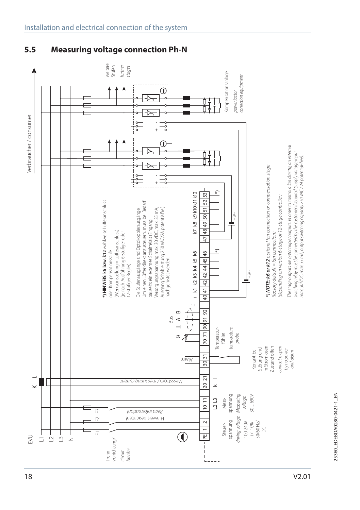

## **5.5 Measuring voltage connection Ph-N**

V2.01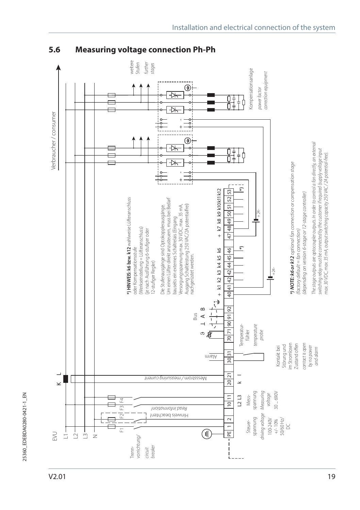V2.01



# **5.6 Measuring voltage connection Ph-Ph**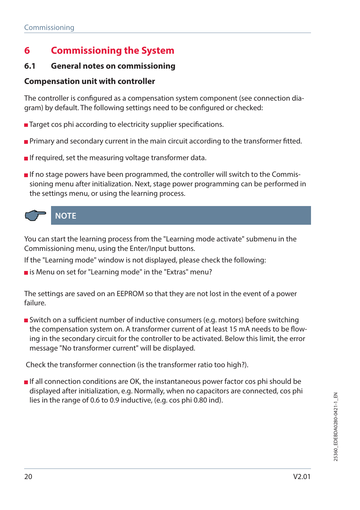# **6 Commissioning the System**

### **6.1 General notes on commissioning**

### **Compensation unit with controller**

The controller is configured as a compensation system component (see connection diagram) by default. The following settings need to be configured or checked:

- Target cos phi according to electricity supplier specifications.
- **Primary and secondary current in the main circuit according to the transformer fitted.**
- If required, set the measuring voltage transformer data.
- If no stage powers have been programmed, the controller will switch to the Commissioning menu after initialization. Next, stage power programming can be performed in the settings menu, or using the learning process.



You can start the learning process from the "Learning mode activate" submenu in the Commissioning menu, using the Enter/Input buttons.

If the "Learning mode" window is not displayed, please check the following:

 $\blacksquare$  is Menu on set for "Learning mode" in the "Extras" menu?

The settings are saved on an EEPROM so that they are not lost in the event of a power failure.

Switch on a sufficient number of inductive consumers (e.g. motors) before switching the compensation system on. A transformer current of at least 15 mA needs to be flowing in the secondary circuit for the controller to be activated. Below this limit, the error message "No transformer current" will be displayed.

Check the transformer connection (is the transformer ratio too high?).

**If all connection conditions are OK, the instantaneous power factor cos phi should be** displayed after initialization, e.g. Normally, when no capacitors are connected, cos phi lies in the range of 0.6 to 0.9 inductive, (e.g. cos phi 0.80 ind).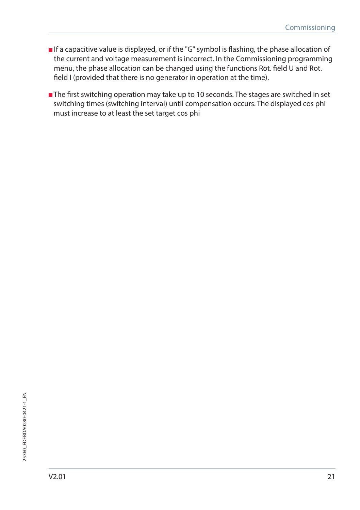- **If a capacitive value is displayed, or if the "G" symbol is flashing, the phase allocation of** the current and voltage measurement is incorrect. In the Commissioning programming menu, the phase allocation can be changed using the functions Rot. field U and Rot. field I (provided that there is no generator in operation at the time).
- The first switching operation may take up to 10 seconds. The stages are switched in set switching times (switching interval) until compensation occurs. The displayed cos phi must increase to at least the set target cos phi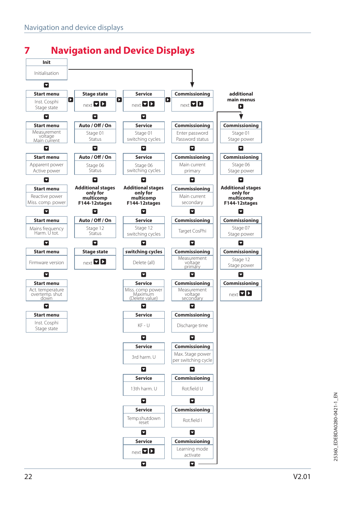

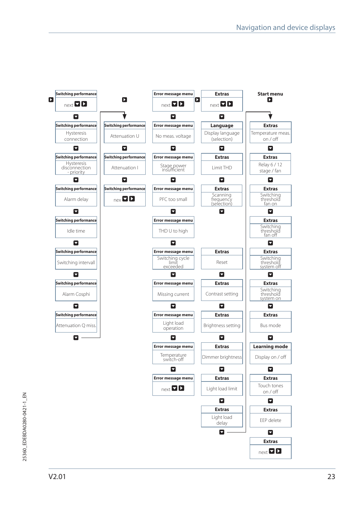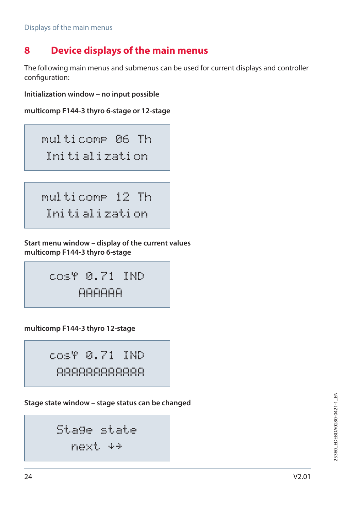# **8 Device displays of the main menus**

The following main menus and submenus can be used for current displays and controller configuration:

**Initialization window – no input possible**

```
multicomp F144-3 thyro 6-stage or 12-stage
```
multicomp 06 Th Initialization

multicomp 12 Th Initialization

**Start menu window – display of the current values multicomp F144-3 thyro 6-stage**

$$
\begin{matrix} \text{cos}\Psi & \text{0.71} & \text{IND} \\ \text{AA} & \text{AA} \\ \end{matrix}
$$

**multicomp F144-3 thyro 12-stage**

cos 0.71 IND AAAAAAAAAAAA

**Stage state window – stage status can be changed**

```
Stage state
next
```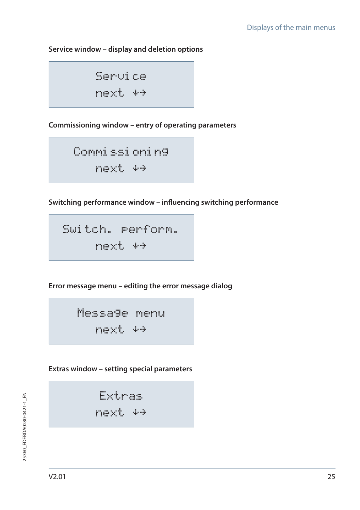#### **Service window – display and deletion options**

Service next

**Commissioning window – entry of operating parameters**

Commissioning next

**Switching performance window – influencing switching performance**

Switch. perform. next

**Error message menu – editing the error message dialog**

Message menu next

**Extras window – setting special parameters**

Extras

next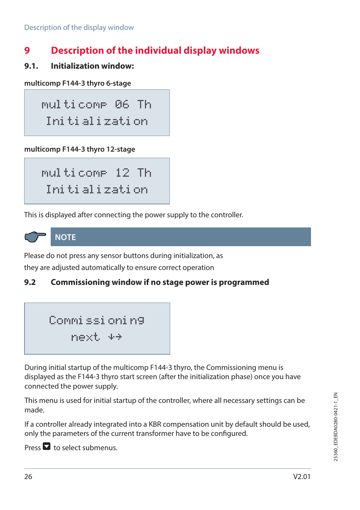# **9 Description of the individual display windows**

**9.1. Initialization window:**

```
multicomp F144-3 thyro 6-stage
```
multicomp 06 Th Initialization

#### **multicomp F144-3 thyro 12-stage**

multicomp 12 Th Initialization

This is displayed after connecting the power supply to the controller.



**NOTE**

Please do not press any sensor buttons during initialization, as they are adjusted automatically to ensure correct operation

# **9.2 Commissioning window if no stage power is programmed**

```
Commissioning
 next
```
During initial startup of the multicomp F144-3 thyro, the Commissioning menu is displayed as the F144-3 thyro start screen (after the initialization phase) once you have connected the power supply.

This menu is used for initial startup of the controller, where all necessary settings can be made.

If a controller already integrated into a KBR compensation unit by default should be used, only the parameters of the current transformer have to be configured.

Press  $\blacksquare$  to select submenus.

25360 EDEBDA0280-0421-1\_EN 25360\_EDEBDA0280-0421-1\_EN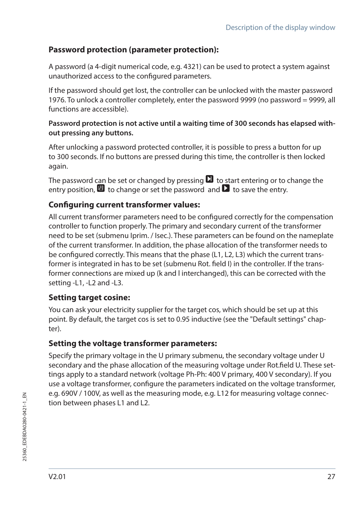# **Password protection (parameter protection):**

A password (a 4-digit numerical code, e.g. 4321) can be used to protect a system against unauthorized access to the configured parameters.

If the password should get lost, the controller can be unlocked with the master password 1976. To unlock a controller completely, enter the password 9999 (no password = 9999, all functions are accessible).

#### **Password protection is not active until a waiting time of 300 seconds has elapsed without pressing any buttons.**

After unlocking a password protected controller, it is possible to press a button for up to 300 seconds. If no buttons are pressed during this time, the controller is then locked again.

The password can be set or changed by pressing  $\Box$  to start entering or to change the entry position,  $\blacksquare$  to change or set the password and  $\blacksquare$  to save the entry.

## **Configuring current transformer values:**

All current transformer parameters need to be configured correctly for the compensation controller to function properly. The primary and secondary current of the transformer need to be set (submenu Iprim. / Isec.). These parameters can be found on the nameplate of the current transformer. In addition, the phase allocation of the transformer needs to be configured correctly. This means that the phase (L1, L2, L3) which the current transformer is integrated in has to be set (submenu Rot. field I) in the controller. If the transformer connections are mixed up (k and l interchanged), this can be corrected with the setting -L1, -L2 and -L3.

## **Setting target cosine:**

You can ask your electricity supplier for the target cos, which should be set up at this point. By default, the target cos is set to 0.95 inductive (see the "Default settings" chapter).

## **Setting the voltage transformer parameters:**

Specify the primary voltage in the U primary submenu, the secondary voltage under U secondary and the phase allocation of the measuring voltage under Rot.field U. These settings apply to a standard network (voltage Ph-Ph: 400 V primary, 400 V secondary). If you use a voltage transformer, configure the parameters indicated on the voltage transformer, e.g. 690V / 100V, as well as the measuring mode, e.g. L12 for measuring voltage connection between phases L1 and L2.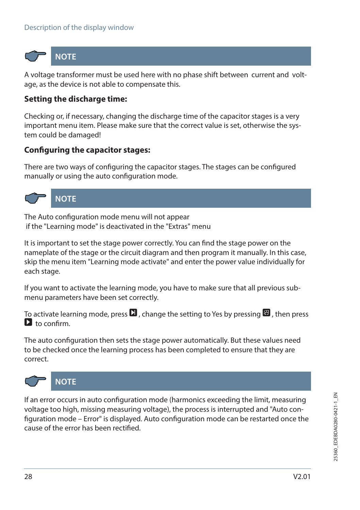

**NOTE**

A voltage transformer must be used here with no phase shift between current and voltage, as the device is not able to compensate this.

## **Setting the discharge time:**

Checking or, if necessary, changing the discharge time of the capacitor stages is a very important menu item. Please make sure that the correct value is set, otherwise the system could be damaged!

#### **Configuring the capacitor stages:**

There are two ways of configuring the capacitor stages. The stages can be configured manually or using the auto configuration mode.



# **NOTE**

The Auto configuration mode menu will not appear if the "Learning mode" is deactivated in the "Extras" menu

It is important to set the stage power correctly. You can find the stage power on the nameplate of the stage or the circuit diagram and then program it manually. In this case, skip the menu item "Learning mode activate" and enter the power value individually for each stage.

If you want to activate the learning mode, you have to make sure that all previous submenu parameters have been set correctly.

To activate learning mode, press  $\Box$ , change the setting to Yes by pressing  $\Box$ , then press  $\sum$  to confirm.

The auto configuration then sets the stage power automatically. But these values need to be checked once the learning process has been completed to ensure that they are correct.



**NOTE**

If an error occurs in auto configuration mode (harmonics exceeding the limit, measuring voltage too high, missing measuring voltage), the process is interrupted and "Auto configuration mode – Error" is displayed. Auto configuration mode can be restarted once the cause of the error has been rectified.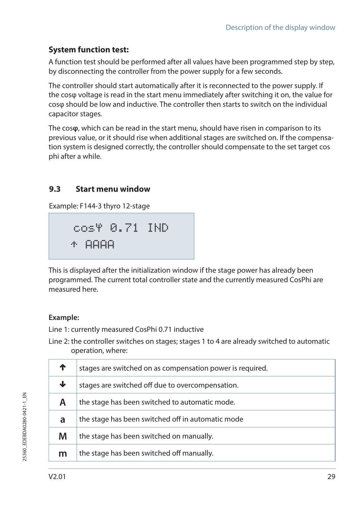# **System function test:**

A function test should be performed after all values have been programmed step by step, by disconnecting the controller from the power supply for a few seconds.

The controller should start automatically after it is reconnected to the power supply. If the cosφ voltage is read in the start menu immediately after switching it on, the value for cosφ should be low and inductive. The controller then starts to switch on the individual capacitor stages.

The cos**φ**, which can be read in the start menu, should have risen in comparison to its previous value, or it should rise when additional stages are switched on. If the compensation system is designed correctly, the controller should compensate to the set target cos phi after a while.

# **9.3 Start menu window**

Example: F144-3 thyro 12-stage

$$
\begin{array}{l} \texttt{cos}\Psi \texttt{ 0.71} \texttt{ IND} \\ \texttt{\footnotesize \texttt{+} \texttt{A} \texttt{A} \texttt{A} \texttt{A}} \end{array}
$$

This is displayed after the initialization window if the stage power has already been programmed. The current total controller state and the currently measured CosPhi are measured here.

## **Example:**

Line 1: currently measured CosPhi 0.71 inductive

Line 2: the controller switches on stages; stages 1 to 4 are already switched to automatic operation, where:

|   | stages are switched on as compensation power is required. |
|---|-----------------------------------------------------------|
| J | stages are switched off due to overcompensation.          |
| Α | the stage has been switched to automatic mode.            |
| a | the stage has been switched off in automatic mode         |
| M | the stage has been switched on manually.                  |
| m | the stage has been switched off manually.                 |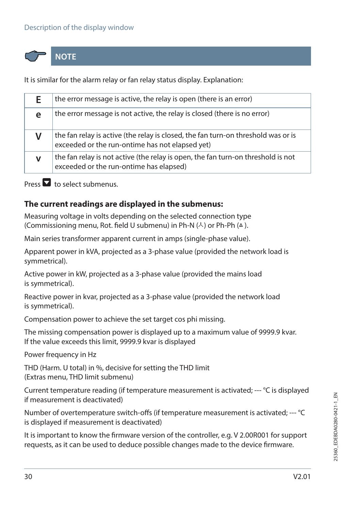#### Description of the display window



**NOTE**

It is similar for the alarm relay or fan relay status display. Explanation:

| F. | the error message is active, the relay is open (there is an error)                                                                   |
|----|--------------------------------------------------------------------------------------------------------------------------------------|
| е  | the error message is not active, the relay is closed (there is no error)                                                             |
|    | the fan relay is active (the relay is closed, the fan turn-on threshold was or is<br>exceeded or the run-ontime has not elapsed yet) |
|    | the fan relay is not active (the relay is open, the fan turn-on threshold is not<br>exceeded or the run-ontime has elapsed)          |

Press  $\blacksquare$  to select submenus.

#### **The current readings are displayed in the submenus:**

Measuring voltage in volts depending on the selected connection type (Commissioning menu, Rot. field U submenu) in Ph-N  $(4)$  or Ph-Ph  $(4)$ .

Main series transformer apparent current in amps (single-phase value).

Apparent power in kVA, projected as a 3-phase value (provided the network load is symmetrical).

Active power in kW, projected as a 3-phase value (provided the mains load is symmetrical).

Reactive power in kvar, projected as a 3-phase value (provided the network load is symmetrical).

Compensation power to achieve the set target cos phi missing.

The missing compensation power is displayed up to a maximum value of 9999.9 kvar. If the value exceeds this limit, 9999.9 kvar is displayed

Power frequency in Hz

THD (Harm. U total) in %, decisive for setting the THD limit (Extras menu, THD limit submenu)

Current temperature reading (if temperature measurement is activated; --- °C is displayed if measurement is deactivated)

Number of overtemperature switch-offs (if temperature measurement is activated; --- °C is displayed if measurement is deactivated)

It is important to know the firmware version of the controller, e.g. V 2.00R001 for support requests, as it can be used to deduce possible changes made to the device firmware.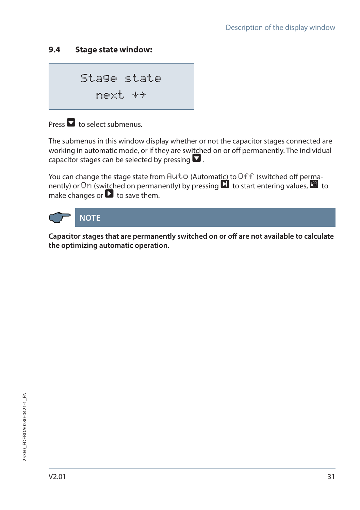# **9.4 Stage state window:**

Stage state next

# Press  $\blacksquare$  to select submenus.

The submenus in this window display whether or not the capacitor stages connected are working in automatic mode, or if they are switched on or off permanently. The individual capacitor stages can be selected by pressing  $\blacksquare$ .

You can change the stage state from  $Hut$ <sup>c</sup> (Automatic) to Off f (switched off permanently) or  $\overline{O}$  (switched on permanently) by pressing  $\overline{O}$  to start entering values,  $\overline{O}$  to make changes or  $\blacksquare$  to save them.



**Capacitor stages that are permanently switched on or off are not available to calculate the optimizing automatic operation**.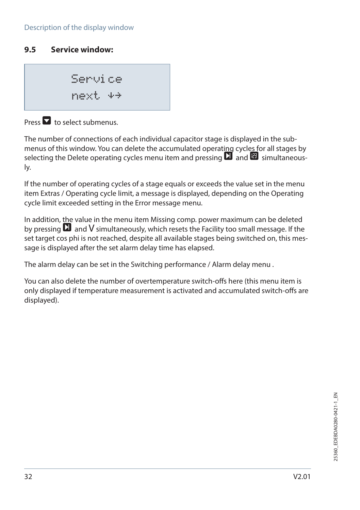## **9.5 Service window:**

Service next

 $Proes$  to select submenus.

The number of connections of each individual capacitor stage is displayed in the submenus of this window. You can delete the accumulated operating cycles for all stages by selecting the Delete operating cycles menu item and pressing  $\Box$  and  $\Box$  simultaneously.

If the number of operating cycles of a stage equals or exceeds the value set in the menu item Extras / Operating cycle limit, a message is displayed, depending on the Operating cycle limit exceeded setting in the Error message menu.

In addition, the value in the menu item Missing comp. power maximum can be deleted by pressing  $\Box$  and  $V$  simultaneously, which resets the Facility too small message. If the set target cos phi is not reached, despite all available stages being switched on, this message is displayed after the set alarm delay time has elapsed.

The alarm delay can be set in the Switching performance / Alarm delay menu .

You can also delete the number of overtemperature switch-offs here (this menu item is only displayed if temperature measurement is activated and accumulated switch-offs are displayed).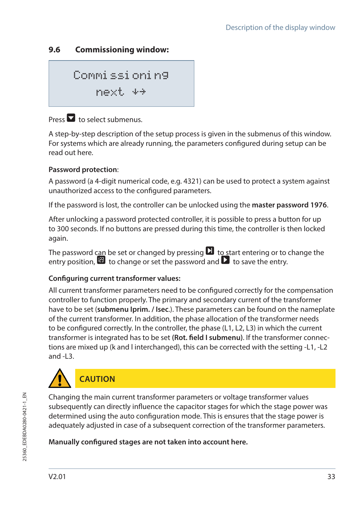# **9.6 Commissioning window:**

Commissioning next

# Press  $\blacksquare$  to select submenus.

A step-by-step description of the setup process is given in the submenus of this window. For systems which are already running, the parameters configured during setup can be read out here.

#### **Password protection**:

A password (a 4-digit numerical code, e.g. 4321) can be used to protect a system against unauthorized access to the configured parameters.

If the password is lost, the controller can be unlocked using the **master password 1976**.

After unlocking a password protected controller, it is possible to press a button for up to 300 seconds. If no buttons are pressed during this time, the controller is then locked again.

The password can be set or changed by pressing  $\Box$  to start entering or to change the entry position,  $\mathbf{F}$  to change or set the password and  $\mathbf{F}$  to save the entry.

#### **Configuring current transformer values:**

All current transformer parameters need to be configured correctly for the compensation controller to function properly. The primary and secondary current of the transformer have to be set (**submenu Iprim. / Isec**.). These parameters can be found on the nameplate of the current transformer. In addition, the phase allocation of the transformer needs to be configured correctly. In the controller, the phase (L1, L2, L3) in which the current transformer is integrated has to be set **(Rot. field I submenu)**. If the transformer connections are mixed up (k and l interchanged), this can be corrected with the setting -L1, -L2 and -L3.



Changing the main current transformer parameters or voltage transformer values subsequently can directly influence the capacitor stages for which the stage power was determined using the auto configuration mode. This is ensures that the stage power is adequately adjusted in case of a subsequent correction of the transformer parameters.

#### **Manually configured stages are not taken into account here.**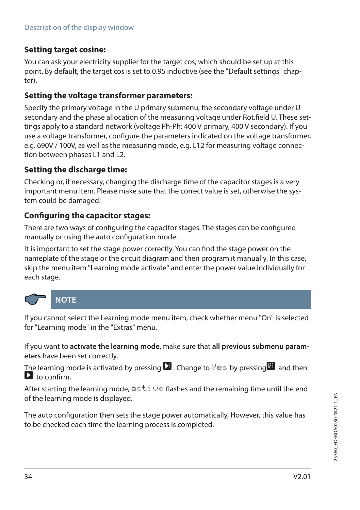## **Setting target cosine:**

You can ask your electricity supplier for the target cos, which should be set up at this point. By default, the target cos is set to 0.95 inductive (see the "Default settings" chapter).

#### **Setting the voltage transformer parameters:**

Specify the primary voltage in the U primary submenu, the secondary voltage under U secondary and the phase allocation of the measuring voltage under Rot.field U. These settings apply to a standard network (voltage Ph-Ph: 400 V primary, 400 V secondary). If you use a voltage transformer, configure the parameters indicated on the voltage transformer, e.g. 690V / 100V, as well as the measuring mode, e.g. L12 for measuring voltage connection between phases L1 and L2.

#### **Setting the discharge time:**

Checking or, if necessary, changing the discharge time of the capacitor stages is a very important menu item. Please make sure that the correct value is set, otherwise the system could be damaged!

#### **Configuring the capacitor stages:**

There are two ways of configuring the capacitor stages. The stages can be configured manually or using the auto configuration mode.

It is important to set the stage power correctly. You can find the stage power on the nameplate of the stage or the circuit diagram and then program it manually. In this case, skip the menu item "Learning mode activate" and enter the power value individually for each stage.



If you cannot select the Learning mode menu item, check whether menu "On" is selected for "Learning mode" in the "Extras" menu.

If you want to **activate the learning mode**, make sure that **all previous submenu parameters** have been set correctly.

The learning mode is activated by pressing  $\Box$  Change to  $\lor \equiv$  by pressing  $\Box$  and then  $\mathbf{\mathsf{D}}$  to confirm.

After starting the learning mode,  $\exists c.t.$   $\cup \in$  flashes and the remaining time until the end of the learning mode is displayed.

The auto configuration then sets the stage power automatically, However, this value has to be checked each time the learning process is completed.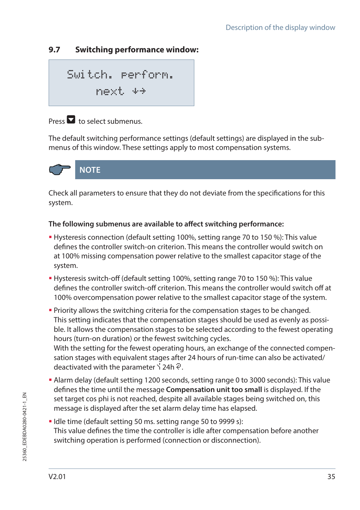# **9.7 Switching performance window:**

$$
\begin{array}{ll}\text{Switch. } \text{perform.} \\ \text{next} \leftrightarrow \end{array}
$$

# $Procs$  to select submenus.

The default switching performance settings (default settings) are displayed in the submenus of this window. These settings apply to most compensation systems.



Check all parameters to ensure that they do not deviate from the specifications for this system.

#### **The following submenus are available to affect switching performance:**

- Hysteresis connection (default setting 100%, setting range 70 to 150 %): This value defines the controller switch-on criterion. This means the controller would switch on at 100% missing compensation power relative to the smallest capacitor stage of the system.
- Hysteresis switch-off (default setting 100%, setting range 70 to 150 %): This value defines the controller switch-off criterion. This means the controller would switch off at 100% overcompensation power relative to the smallest capacitor stage of the system.
- Priority allows the switching criteria for the compensation stages to be changed. This setting indicates that the compensation stages should be used as evenly as possible. It allows the compensation stages to be selected according to the fewest operating hours (turn-on duration) or the fewest switching cycles. With the setting for the fewest operating hours, an exchange of the connected compensation stages with equivalent stages after 24 hours of run-time can also be activated/ deactivated with the parameter  $\frac{1}{2}$  24h  $\frac{5}{3}$ .
- Alarm delay (default setting 1200 seconds, setting range 0 to 3000 seconds): This value defines the time until the message **Compensation unit too small** is displayed. If the set target cos phi is not reached, despite all available stages being switched on, this message is displayed after the set alarm delay time has elapsed.
- I dle time (default setting 50 ms. setting range 50 to 9999 s): This value defines the time the controller is idle after compensation before another switching operation is performed (connection or disconnection).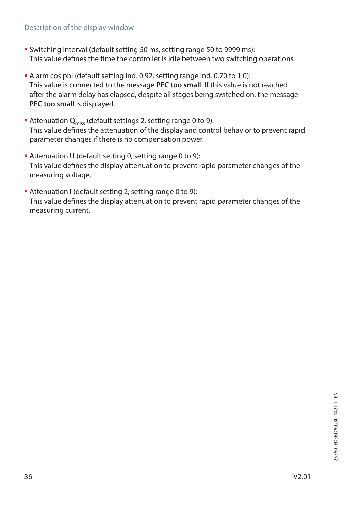#### Description of the display window

- Switching interval (default setting 50 ms, setting range 50 to 9999 ms): This value defines the time the controller is idle between two switching operations.
- Alarm cos phi (default setting ind. 0.92, setting range ind. 0.70 to 1.0): This value is connected to the message **PFC too small**. If this value is not reached after the alarm delay has elapsed, despite all stages being switched on, the message **PFC too small** is displayed.
- Attenuation  $Q_{\text{miss}}$  (default settings 2, setting range 0 to 9): This value defines the attenuation of the display and control behavior to prevent rapid parameter changes if there is no compensation power.
- Attenuation U (default setting 0, setting range 0 to 9): This value defines the display attenuation to prevent rapid parameter changes of the measuring voltage.
- Attenuation I (default setting 2, setting range 0 to 9): This value defines the display attenuation to prevent rapid parameter changes of the measuring current.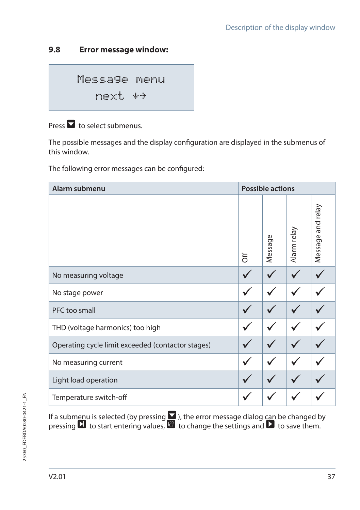## **9.8 Error message window:**

Message menu next

Press  $\blacksquare$  to select submenus.

The possible messages and the display configuration are displayed in the submenus of this window.

The following error messages can be configured:

| Alarm submenu                                     |   | <b>Possible actions</b> |             |                   |  |
|---------------------------------------------------|---|-------------------------|-------------|-------------------|--|
|                                                   | ₹ | Message                 | Alarm relay | Message and relay |  |
| No measuring voltage                              |   |                         |             |                   |  |
| No stage power                                    |   |                         |             |                   |  |
| PFC too small                                     |   |                         |             |                   |  |
| THD (voltage harmonics) too high                  |   |                         |             |                   |  |
| Operating cycle limit exceeded (contactor stages) |   |                         |             |                   |  |
| No measuring current                              |   |                         |             |                   |  |
| Light load operation                              |   |                         |             |                   |  |
| Temperature switch-off                            |   |                         |             |                   |  |

If a submenu is selected (by pressing  $\blacksquare$  ), the error message dialog can be changed by pressing  $\Box$  to start entering values,  $\Box$  to change the settings and  $\Box$  to save them.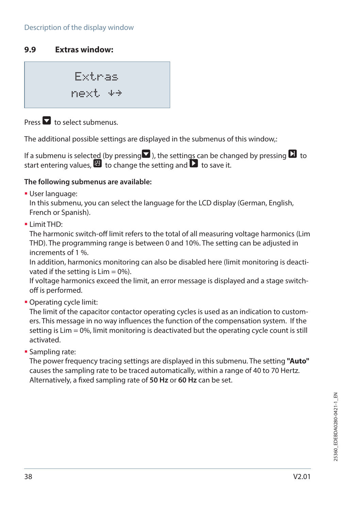## **9.9 Extras window:**

Extras next

Press  $\blacksquare$  to select submenus.

The additional possible settings are displayed in the submenus of this window,:

If a submenu is selected (by pressing  $\blacksquare$ ), the settings can be changed by pressing  $\blacksquare$  to start entering values,  $\mathbf{E}$  to change the setting and  $\mathbf{\Sigma}$  to save it.

#### **The following submenus are available:**

User language:

In this submenu, you can select the language for the LCD display (German, English, French or Spanish).

 $\blacksquare$  Limit THD:

The harmonic switch-off limit refers to the total of all measuring voltage harmonics (Lim THD). The programming range is between 0 and 10%. The setting can be adjusted in increments of 1 %.

In addition, harmonics monitoring can also be disabled here (limit monitoring is deactivated if the setting is  $Lim = 0\%$ ).

If voltage harmonics exceed the limit, an error message is displayed and a stage switchoff is performed.

Operating cycle limit:

The limit of the capacitor contactor operating cycles is used as an indication to customers. This message in no way influences the function of the compensation system. If the setting is Lim = 0%, limit monitoring is deactivated but the operating cycle count is still activated.

**Sampling rate:** 

The power frequency tracing settings are displayed in this submenu. The setting **"Auto"**  causes the sampling rate to be traced automatically, within a range of 40 to 70 Hertz. Alternatively, a fixed sampling rate of **50 Hz** or **60 Hz** can be set.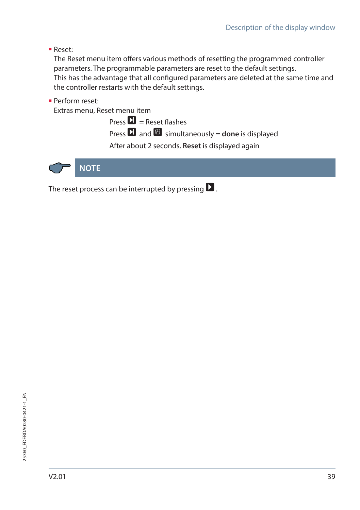Reset:

The Reset menu item offers various methods of resetting the programmed controller parameters. The programmable parameters are reset to the default settings. This has the advantage that all configured parameters are deleted at the same time and the controller restarts with the default settings.

Perform reset:

Extras menu, Reset menu item

 $Proes \ \blacksquare$  = Reset flashes

Press **D** and **V** simultaneously = **done** is displayed

After about 2 seconds, **Reset** is displayed again



The reset process can be interrupted by pressing  $\blacksquare$ .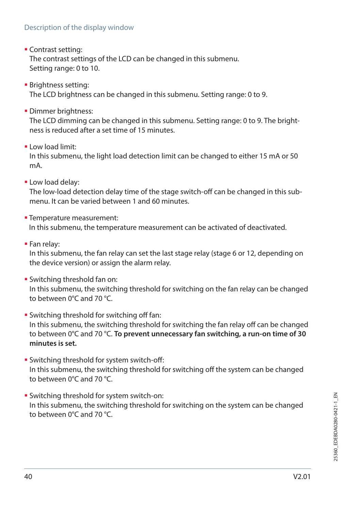#### Description of the display window

**Contrast setting:** 

The contrast settings of the LCD can be changed in this submenu. Setting range: 0 to 10.

- **Brightness setting:** The LCD brightness can be changed in this submenu. Setting range: 0 to 9.
- **Dimmer brightness:**

The LCD dimming can be changed in this submenu. Setting range: 0 to 9. The brightness is reduced after a set time of 15 minutes.

 $\blacksquare$  Low load limit:

In this submenu, the light load detection limit can be changed to either 15 mA or 50 mA.

**-Low load delay:** 

The low-load detection delay time of the stage switch-off can be changed in this submenu. It can be varied between 1 and 60 minutes

- **Temperature measurement:** In this submenu, the temperature measurement can be activated of deactivated.
- Fan relay:

In this submenu, the fan relay can set the last stage relay (stage 6 or 12, depending on the device version) or assign the alarm relay.

Switching threshold fan on:

In this submenu, the switching threshold for switching on the fan relay can be changed to between 0°C and 70 °C.

- **Switching threshold for switching off fan:** In this submenu, the switching threshold for switching the fan relay off can be changed to between 0°C and 70 °C. **To prevent unnecessary fan switching, a run-on time of 30 minutes is set.**
- Switching threshold for system switch-off: In this submenu, the switching threshold for switching off the system can be changed to between 0°C and 70 °C.
- Switching threshold for system switch-on: In this submenu, the switching threshold for switching on the system can be changed to between 0°C and 70 °C.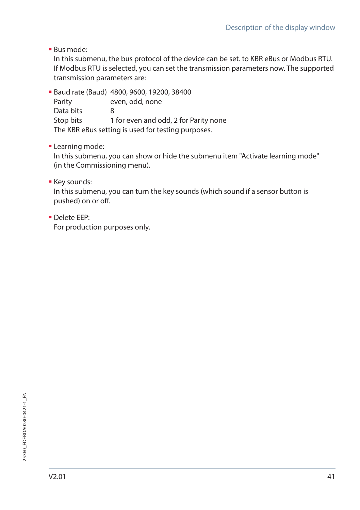Bus mode:

In this submenu, the bus protocol of the device can be set. to KBR eBus or Modbus RTU. If Modbus RTU is selected, you can set the transmission parameters now. The supported transmission parameters are:

 Baud rate (Baud) 4800, 9600, 19200, 38400 Parity even, odd, none Data bits 8 Stop bits 1 for even and odd, 2 for Parity none The KBR eBus setting is used for testing purposes.

**-** Learning mode:

In this submenu, you can show or hide the submenu item "Activate learning mode" (in the Commissioning menu).

**Key sounds:** 

In this submenu, you can turn the key sounds (which sound if a sensor button is pushed) on or off.

Delete EEP:

For production purposes only.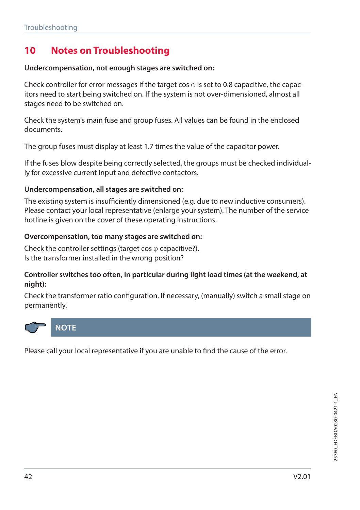# **10 Notes on Troubleshooting**

#### **Undercompensation, not enough stages are switched on:**

Check controller for error messages If the target cos  $\varphi$  is set to 0.8 capacitive, the capacitors need to start being switched on. If the system is not over-dimensioned, almost all stages need to be switched on.

Check the system's main fuse and group fuses. All values can be found in the enclosed documents.

The group fuses must display at least 1.7 times the value of the capacitor power.

If the fuses blow despite being correctly selected, the groups must be checked individually for excessive current input and defective contactors.

#### **Undercompensation, all stages are switched on:**

The existing system is insufficiently dimensioned (e.g. due to new inductive consumers). Please contact your local representative (enlarge your system). The number of the service hotline is given on the cover of these operating instructions.

#### **Overcompensation, too many stages are switched on:**

Check the controller settings (target cos  $\varphi$  capacitive?). Is the transformer installed in the wrong position?

#### **Controller switches too often, in particular during light load times (at the weekend, at night):**

Check the transformer ratio configuration. If necessary, (manually) switch a small stage on permanently.



Please call your local representative if you are unable to find the cause of the error.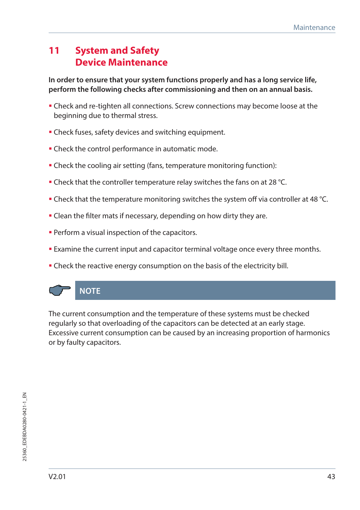# **11 System and Safety Device Maintenance**

**In order to ensure that your system functions properly and has a long service life, perform the following checks after commissioning and then on an annual basis.**

- Check and re-tighten all connections. Screw connections may become loose at the beginning due to thermal stress.
- **Check fuses, safety devices and switching equipment.**
- **-** Check the control performance in automatic mode.
- Check the cooling air setting (fans, temperature monitoring function):
- **Check that the controller temperature relay switches the fans on at 28 °C.**
- Check that the temperature monitoring switches the system off via controller at 48 °C.
- **Clean the filter mats if necessary, depending on how dirty they are.**
- **Perform a visual inspection of the capacitors.**
- Examine the current input and capacitor terminal voltage once every three months.
- **Check the reactive energy consumption on the basis of the electricity bill.**



The current consumption and the temperature of these systems must be checked regularly so that overloading of the capacitors can be detected at an early stage. Excessive current consumption can be caused by an increasing proportion of harmonics or by faulty capacitors.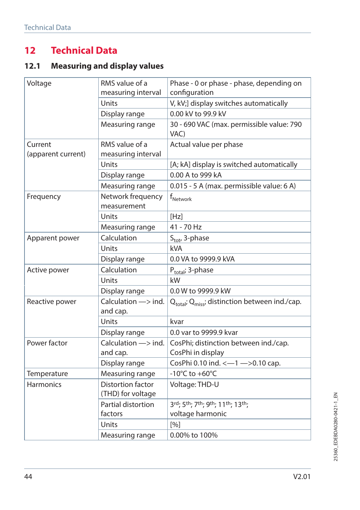# **12 Technical Data**

# **12.1 Measuring and display values**

| Voltage                       | RMS value of a<br>measuring interval           | Phase - 0 or phase - phase, depending on<br>configuration  |  |
|-------------------------------|------------------------------------------------|------------------------------------------------------------|--|
|                               | Units                                          | V, kV;] display switches automatically                     |  |
|                               | Display range                                  | 0.00 kV to 99.9 kV                                         |  |
|                               | Measuring range                                | 30 - 690 VAC (max. permissible value: 790<br>VAC)          |  |
| Current<br>(apparent current) | RMS value of a<br>measuring interval           | Actual value per phase                                     |  |
|                               | Units                                          | [A; kA] display is switched automatically                  |  |
|                               | Display range                                  | 0.00 A to 999 kA                                           |  |
|                               | Measuring range                                | 0.015 - 5 A (max. permissible value: 6 A)                  |  |
| Frequency                     | Network frequency<br>measurement               | $f_{\text{Network}}$                                       |  |
|                               | Units                                          | [Hz]                                                       |  |
|                               | Measuring range                                | 41 - 70 Hz                                                 |  |
| Apparent power                | Calculation                                    | S <sub>tot</sub> , 3-phase                                 |  |
|                               | Units                                          | kVA                                                        |  |
|                               | Display range                                  | 0.0 VA to 9999.9 kVA                                       |  |
| Active power                  | Calculation                                    | P <sub>total</sub> ; 3-phase                               |  |
|                               | Units                                          | kW                                                         |  |
|                               | Display range                                  | 0.0 W to 9999.9 kW                                         |  |
| Reactive power                | Calculation $\Longrightarrow$ ind.<br>and cap. | $Q_{total}$ ; $Q_{miss}$ ; distinction between ind./cap.   |  |
|                               | Units                                          | kvar                                                       |  |
|                               | Display range                                  | 0.0 var to 9999.9 kvar                                     |  |
| Power factor                  | Calculation $\Longrightarrow$ ind.<br>and cap. | CosPhi; distinction between ind./cap.<br>CosPhi in display |  |
|                               | Display range                                  | CosPhi 0.10 ind. <- 1 -> 0.10 cap.                         |  |
| Temperature                   | Measuring range                                | -10 $^{\circ}$ C to +60 $^{\circ}$ C                       |  |
| <b>Harmonics</b>              | Distortion factor<br>(THD) for voltage         | Voltage: THD-U                                             |  |
|                               | Partial distortion                             | 3rd; 5th; 7th; 9th; 11th; 13th;                            |  |
|                               | factors                                        | voltage harmonic                                           |  |
|                               | Units                                          | [%]                                                        |  |
|                               | Measuring range                                | 0.00% to 100%                                              |  |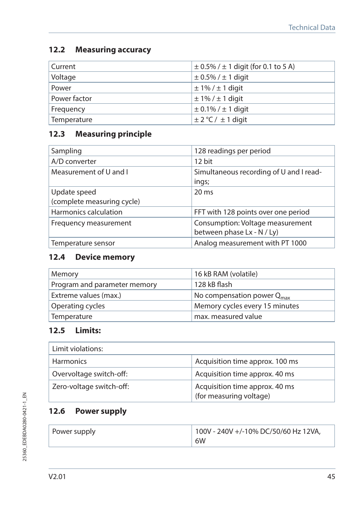## **12.2 Measuring accuracy**

| Current      | $\pm$ 0.5% / $\pm$ 1 digit (for 0.1 to 5 A) |
|--------------|---------------------------------------------|
| Voltage      | $\pm$ 0.5% / $\pm$ 1 digit                  |
| Power        | $\pm$ 1% / $\pm$ 1 digit                    |
| Power factor | $\pm$ 1% / $\pm$ 1 digit                    |
| Frequency    | $\pm$ 0.1% / $\pm$ 1 digit                  |
| Temperature  | $\pm$ 2 °C / $\pm$ 1 digit                  |

# **12.3 Measuring principle**

| Sampling                                   | 128 readings per period                                        |
|--------------------------------------------|----------------------------------------------------------------|
| A/D converter                              | 12 bit                                                         |
| Measurement of U and I                     | Simultaneous recording of U and I read-<br>ings;               |
| Update speed<br>(complete measuring cycle) | $20 \text{ ms}$                                                |
| Harmonics calculation                      | FFT with 128 points over one period                            |
| Frequency measurement                      | Consumption: Voltage measurement<br>between phase Lx - N / Ly) |
| Temperature sensor                         | Analog measurement with PT 1000                                |

# **12.4 Device memory**

| Memory                       | 16 kB RAM (volatile)                   |  |
|------------------------------|----------------------------------------|--|
| Program and parameter memory | 128 kB flash                           |  |
| Extreme values (max.)        | No compensation power Q <sub>max</sub> |  |
| Operating cycles             | Memory cycles every 15 minutes         |  |
| Temperature                  | max. measured value                    |  |

# **12.5 Limits:**

| Limit violations:        |                                                           |  |
|--------------------------|-----------------------------------------------------------|--|
| <b>Harmonics</b>         | Acquisition time approx. 100 ms                           |  |
| Overvoltage switch-off:  | Acquisition time approx. 40 ms                            |  |
| Zero-voltage switch-off: | Acquisition time approx. 40 ms<br>(for measuring voltage) |  |

# **12.6 Power supply**

| Power supply | 100V - 240V +/-10% DC/50/60 Hz 12VA, |
|--------------|--------------------------------------|
|              | 6W                                   |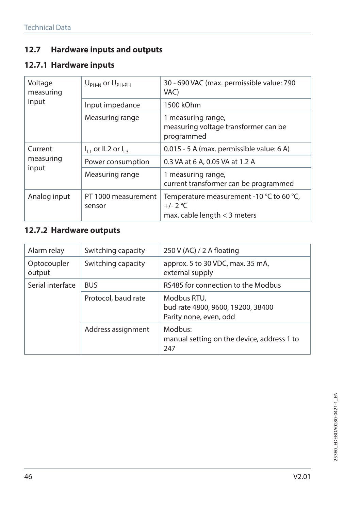# **12.7 Hardware inputs and outputs**

# **12.7.1 Hardware inputs**

| Voltage<br>measuring          | $U_{\rm PH-N}$ or $U_{\rm PH-PH}$ | 30 - 690 VAC (max. permissible value: 790<br>VAC)                                        |  |
|-------------------------------|-----------------------------------|------------------------------------------------------------------------------------------|--|
| input                         | Input impedance                   | 1500 kOhm                                                                                |  |
|                               | Measuring range                   | 1 measuring range,<br>measuring voltage transformer can be<br>programmed                 |  |
| Current<br>measuring<br>input | $I_{11}$ or IL2 or $I_{12}$       | 0.015 - 5 A (max. permissible value: 6 A)                                                |  |
|                               | Power consumption                 | 0.3 VA at 6 A, 0.05 VA at 1.2 A                                                          |  |
|                               | Measuring range                   | 1 measuring range,<br>current transformer can be programmed                              |  |
| Analog input                  | PT 1000 measurement<br>sensor     | Temperature measurement -10 °C to 60 °C,<br>$+/- 2 °C$<br>max. cable length $<$ 3 meters |  |

# **12.7.2 Hardware outputs**

| Alarm relay           | Switching capacity  | 250 V (AC) / 2 A floating                                                  |  |
|-----------------------|---------------------|----------------------------------------------------------------------------|--|
| Optocoupler<br>output | Switching capacity  | approx. 5 to 30 VDC, max. 35 mA,<br>external supply                        |  |
| Serial interface      | <b>BUS</b>          | RS485 for connection to the Modbus                                         |  |
|                       | Protocol, baud rate | Modbus RTU,<br>bud rate 4800, 9600, 19200, 38400<br>Parity none, even, odd |  |
|                       | Address assignment  | Modbus:<br>manual setting on the device, address 1 to<br>247               |  |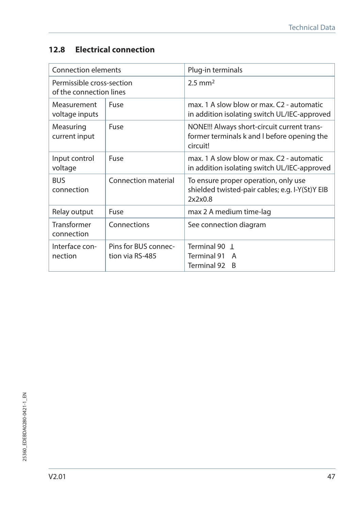# **12.8 Electrical connection**

| Connection elements                                  |                                         | Plug-in terminals                                                                                      |  |
|------------------------------------------------------|-----------------------------------------|--------------------------------------------------------------------------------------------------------|--|
| Permissible cross-section<br>of the connection lines |                                         | $2.5$ mm <sup>2</sup>                                                                                  |  |
| Measurement<br>voltage inputs                        | Fuse                                    | max. 1 A slow blow or max. C2 - automatic<br>in addition isolating switch UL/IEC-approved              |  |
| Measuring<br>current input                           | Fuse                                    | NONE!!! Always short-circuit current trans-<br>former terminals k and I before opening the<br>circuit! |  |
| Input control<br>voltage                             | Fuse                                    | max. 1 A slow blow or max. C2 - automatic<br>in addition isolating switch UL/IEC-approved              |  |
| <b>BUS</b><br>connection                             | Connection material                     | To ensure proper operation, only use<br>shielded twisted-pair cables; e.g. I-Y(St)Y EIB<br>2x2x0.8     |  |
| Relay output                                         | Fuse                                    | max 2 A medium time-lag                                                                                |  |
| Transformer<br>connection                            | Connections                             | See connection diagram                                                                                 |  |
| Interface con-<br>nection                            | Pins for BUS connec-<br>tion via RS-485 | Terminal 90  <br>Terminal 91<br>A<br>Terminal 92<br>B                                                  |  |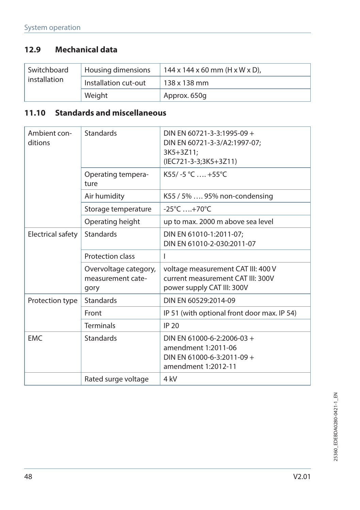# **12.9 Mechanical data**

| Switchboard<br>installation | Housing dimensions   | $144 \times 144 \times 60$ mm (H x W x D), |
|-----------------------------|----------------------|--------------------------------------------|
|                             | Installation cut-out | 138 x 138 mm                               |
|                             | Weight               | Approx. 650q                               |

# **11.10 Standards and miscellaneous**

| Ambient con-<br>ditions | <b>Standards</b>                                   | DIN EN 60721-3-3:1995-09 +<br>DIN EN 60721-3-3/A2:1997-07;<br>3K5+3Z11;<br>(IEC721-3-3;3K5+3Z11)       |  |
|-------------------------|----------------------------------------------------|--------------------------------------------------------------------------------------------------------|--|
|                         | Operating tempera-<br>ture                         | $K55/-5 °C$ , +55°C                                                                                    |  |
|                         | Air humidity                                       | K55 / 5%  95% non-condensing                                                                           |  |
|                         | Storage temperature                                | $-25^{\circ}$ C  +70 $^{\circ}$ C                                                                      |  |
|                         | Operating height                                   | up to max. 2000 m above sea level                                                                      |  |
| Electrical safety       | <b>Standards</b>                                   | DIN EN 61010-1:2011-07;<br>DIN EN 61010-2-030:2011-07                                                  |  |
|                         | Protection class                                   | I                                                                                                      |  |
|                         | Overvoltage category,<br>measurement cate-<br>gory | voltage measurement CAT III: 400 V<br>current measurement CAT III: 300V<br>power supply CAT III: 300V  |  |
| Protection type         | <b>Standards</b>                                   | DIN FN 60529:2014-09                                                                                   |  |
|                         | Front                                              | IP 51 (with optional front door max. IP 54)                                                            |  |
|                         | <b>Terminals</b>                                   | <b>IP 20</b>                                                                                           |  |
| <b>EMC</b>              | <b>Standards</b>                                   | DIN EN 61000-6-2:2006-03 +<br>amendment 1:2011-06<br>DIN EN 61000-6-3:2011-09 +<br>amendment 1:2012-11 |  |
|                         | Rated surge voltage                                | 4 kV                                                                                                   |  |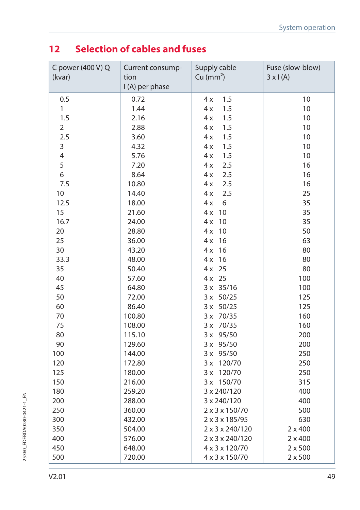# **12 Selection of cables and fuses**

| C power (400 V) Q<br>(kvar) | Current consump-<br>tion<br>I (A) per phase | Supply cable<br>Cu (mm <sup>2</sup> ) | Fuse (slow-blow)<br>$3 \times 1(A)$ |
|-----------------------------|---------------------------------------------|---------------------------------------|-------------------------------------|
| 0.5                         | 0.72                                        | 1.5<br>4x                             | 10                                  |
| 1                           | 1.44                                        | 4x<br>1.5                             | 10                                  |
| 1.5                         | 2.16                                        | 1.5<br>4 x                            | 10                                  |
| $\overline{2}$              | 2.88                                        | 1.5<br>4x                             | $10$                                |
| 2.5                         | 3.60                                        | 1.5<br>4x                             | 10                                  |
| 3                           | 4.32                                        | 1.5<br>4 x                            | $10$                                |
| $\overline{4}$              | 5.76                                        | 1.5<br>4 x                            | $10$                                |
| 5                           | 7.20                                        | 2.5<br>4x                             | 16                                  |
| 6                           | 8.64                                        | 2.5<br>4x                             | 16                                  |
| 7.5                         | 10.80                                       | 2.5<br>4x                             | 16                                  |
| 10                          | 14.40                                       | 2.5<br>4 x                            | 25                                  |
| 12.5                        | 18.00                                       | 6<br>4x                               | 35                                  |
| 15                          | 21.60                                       | 4 x<br>10                             | 35                                  |
| 16.7                        | 24.00                                       | 10<br>4x                              | 35                                  |
| 20                          | 28.80                                       | 10<br>4 x                             | 50                                  |
| 25                          | 36.00                                       | 4x<br>16                              | 63                                  |
| 30                          | 43.20                                       | 4x<br>16                              | 80                                  |
| 33.3                        | 48.00                                       | 16<br>4 x                             | 80                                  |
| 35                          | 50.40                                       | $4x$ 25                               | 80                                  |
| 40                          | 57.60                                       | $4x$ 25                               | 100                                 |
| 45                          | 64.80                                       | 3 x 35/16                             | 100                                 |
| 50                          | 72.00                                       | 3 x 50/25                             | 125                                 |
| 60                          | 86.40                                       | $3 \times 50/25$                      | 125                                 |
| 70                          | 100.80                                      | 3 x 70/35                             | 160                                 |
| 75                          | 108.00                                      | 3 x 70/35                             | 160                                 |
| 80                          | 115.10                                      | 3 x 95/50                             | 200                                 |
| 90                          | 129.60                                      | 3 x 95/50                             | 200                                 |
| 100                         | 144.00                                      | 3 x 95/50                             | 250                                 |
| 120                         | 172.80                                      | 3 x 120/70                            | 250                                 |
| 125                         | 180.00                                      | 3 x 120/70                            | 250                                 |
| 150                         | 216.00                                      | 3 x 150/70                            | 315                                 |
| 180                         | 259.20                                      | 3 x 240/120                           | 400                                 |
| 200                         | 288.00                                      | 3 x 240/120                           | 400                                 |
| 250                         | 360.00                                      | 2 x 3 x 150/70                        | 500                                 |
| 300                         | 432.00                                      | 2 x 3 x 185/95                        | 630                                 |
| 350                         | 504.00                                      | 2 x 3 x 240/120                       | $2 \times 400$                      |
| 400                         | 576.00                                      | 2 x 3 x 240/120                       | $2 \times 400$                      |
| 450                         | 648.00                                      | 4 x 3 x 120/70                        | $2 \times 500$                      |
| 500                         | 720.00                                      | 4 x 3 x 150/70                        | $2 \times 500$                      |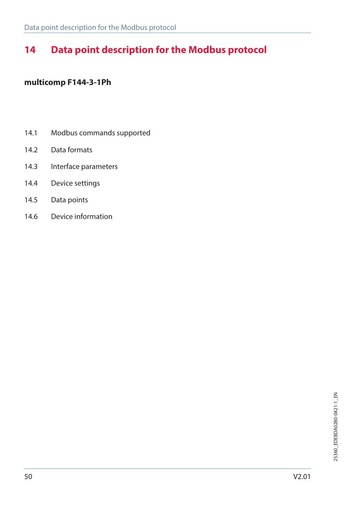# **14 Data point description for the Modbus protocol**

### **multicomp F144-3-1Ph**

- 14.1 Modbus commands supported
- 14.2 Data formats
- 14.3 Interface parameters
- 14.4 Device settings
- 14.5 Data points
- 14.6 Device information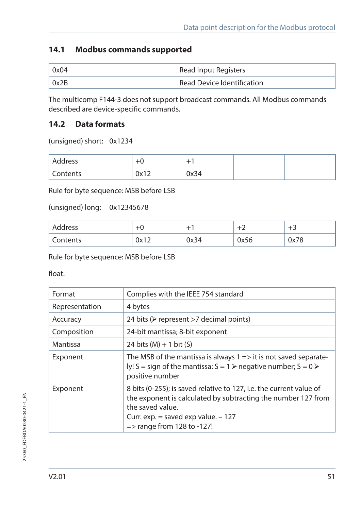## **14.1 Modbus commands supported**

| 0x04 | Read Input Registers                    |
|------|-----------------------------------------|
| 0x2B | <sup>1</sup> Read Device Identification |

The multicomp F144-3 does not support broadcast commands. All Modbus commands described are device-specific commands.

## **14.2 Data formats**

(unsigned) short: 0x1234

| Address  |      | -    |  |
|----------|------|------|--|
| Contents | 0x12 | 0x34 |  |

Rule for byte sequence: MSB before LSB

(unsigned) long: 0x12345678

| Address  |                      | ÷    |                      | -    |
|----------|----------------------|------|----------------------|------|
| Contents | ∩∿1 ว<br><b>VAIZ</b> | 0x34 | 0.756<br><b>UX56</b> | 0x78 |

Rule for byte sequence: MSB before LSB

float:

| Format         | Complies with the IEEE 754 standard                                                                                                                                                                                                         |
|----------------|---------------------------------------------------------------------------------------------------------------------------------------------------------------------------------------------------------------------------------------------|
| Representation | 4 bytes                                                                                                                                                                                                                                     |
| Accuracy       | 24 bits ( $\triangleright$ represent >7 decimal points)                                                                                                                                                                                     |
| Composition    | 24-bit mantissa; 8-bit exponent                                                                                                                                                                                                             |
| Mantissa       | 24 bits $(M) + 1$ bit $(S)$                                                                                                                                                                                                                 |
| Exponent       | The MSB of the mantissa is always $1 \Rightarrow$ it is not saved separate-<br>ly! S = sign of the mantissa: $S = 1$ > negative number; $S = 0$ ><br>positive number                                                                        |
| Exponent       | 8 bits (0-255); is saved relative to 127, i.e. the current value of<br>the exponent is calculated by subtracting the number 127 from<br>the saved value.<br>Curr. exp. $=$ saved exp value. $-127$<br>$\Rightarrow$ range from 128 to -127! |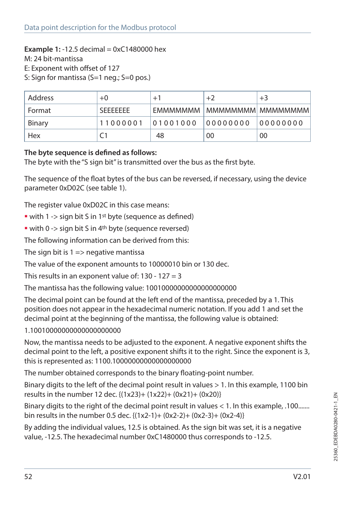#### **Example 1:** -12.5 decimal = 0xC1480000 hex

M: 24 bit-mantissa

E: Exponent with offset of 127

S: Sign for mantissa (S=1 neg.; S=0 pos.)

| Address | $+0$             | $+1$     | $+2$                            | $+3$      |
|---------|------------------|----------|---------------------------------|-----------|
| Format  | <b>SFFFFFFFF</b> |          | FMMMMMMM   MMMMMMMMM   MMMMMMMM |           |
| Binary  | 11000001         | 01001000 | 00000000                        | 100000000 |
| Hex     |                  | 48       | 00                              | 00        |

#### **The byte sequence is defined as follows:**

The byte with the "S sign bit" is transmitted over the bus as the first byte.

The sequence of the float bytes of the bus can be reversed, if necessary, using the device parameter 0xD02C (see table 1).

The register value 0xD02C in this case means:

- with 1 -> sign bit S in 1<sup>st</sup> byte (sequence as defined)
- with 0 -> sign bit S in 4<sup>th</sup> byte (sequence reversed)

The following information can be derived from this:

The sign bit is  $1 \Rightarrow$  negative mantissa

The value of the exponent amounts to 10000010 bin or 130 dec.

This results in an exponent value of:  $130 - 127 = 3$ 

The mantissa has the following value: 10010000000000000000000

The decimal point can be found at the left end of the mantissa, preceded by a 1. This position does not appear in the hexadecimal numeric notation. If you add 1 and set the decimal point at the beginning of the mantissa, the following value is obtained:

1.10010000000000000000000

Now, the mantissa needs to be adjusted to the exponent. A negative exponent shifts the decimal point to the left, a positive exponent shifts it to the right. Since the exponent is 3, this is represented as: 1100.10000000000000000000

The number obtained corresponds to the binary floating-point number.

Binary digits to the left of the decimal point result in values > 1. In this example, 1100 bin results in the number 12 dec. {(1x23)+ (1x22)+ (0x21)+ (0x20)}

Binary digits to the right of the decimal point result in values < 1. In this example, .100....... bin results in the number 0.5 dec. {(1x2-1)+ (0x2-2)+ (0x2-3)+ (0x2-4)}

By adding the individual values, 12.5 is obtained. As the sign bit was set, it is a negative value, -12.5. The hexadecimal number 0xC1480000 thus corresponds to -12.5.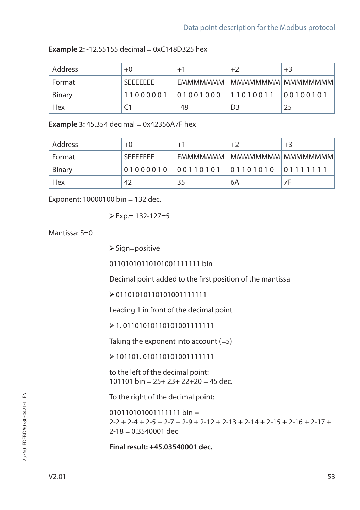| Address | $+0$             | $+1$              | $+2$               | $+3$     |
|---------|------------------|-------------------|--------------------|----------|
| Format  | <b>SFFFFFFFF</b> | <b>FMMMMMMM</b>   | MMMMMMMM  MMMMMMMM |          |
| Binary  | 11000001         | 01001000 11010011 |                    | 00100101 |
| Hex     |                  | 48                | D <sub>3</sub>     | 25       |

| <b>Example 2:</b> -12.55155 decimal = $0 \times C148D325$ hex |  |
|---------------------------------------------------------------|--|
|---------------------------------------------------------------|--|

**Example 3:** 45.354 decimal = 0x42356A7F hex

| Address | $+0$             | $+1$ | $+2$                                | $+3$                            |
|---------|------------------|------|-------------------------------------|---------------------------------|
| Format  | <b>SFFFFFFFF</b> |      |                                     | EMMMMMMM   MMMMMMMMM   MMMMMMMM |
| Binary  |                  |      | 01000010 00110101 01101010 01111111 |                                 |
| Hex     | 42               | 35   | 6A                                  | 7F                              |

Exponent: 10000100 bin = 132 dec.

$$
\triangleright \text{Exp} = 132 - 127 = 5
$$

Mantissa:  $S=0$ 

 $\triangleright$  Sign=positive

01101010110101001111111 bin

Decimal point added to the first position of the mantissa

01101010110101001111111

Leading 1 in front of the decimal point

1. 01101010110101001111111

Taking the exponent into account (=5)

101101. 010110101001111111

to the left of the decimal point: 101101 bin =  $25+23+22+20 = 45$  dec.

To the right of the decimal point:

 $0101101010011111111 \text{ bin} =$  $2-2 + 2-4 + 2-5 + 2-7 + 2-9 + 2-12 + 2-13 + 2-14 + 2-15 + 2-16 + 2-17 +$  $2 - 18 = 0.3540001$  dec

**Final result: +45.03540001 dec.**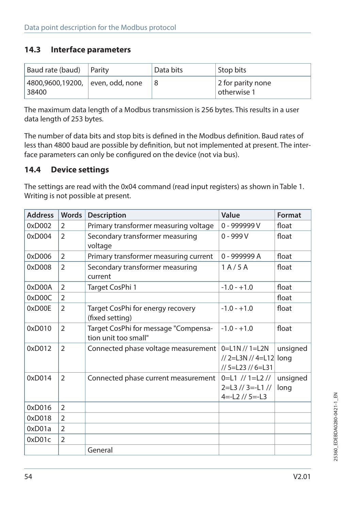### **14.3 Interface parameters**

| Baud rate (baud)                          | Parity | Data bits | Stop bits                        |
|-------------------------------------------|--------|-----------|----------------------------------|
| 4800,9600,19200, even, odd, none<br>38400 |        |           | 2 for parity none<br>otherwise 1 |

The maximum data length of a Modbus transmission is 256 bytes. This results in a user data length of 253 bytes.

The number of data bits and stop bits is defined in the Modbus definition. Baud rates of less than 4800 baud are possible by definition, but not implemented at present. The interface parameters can only be configured on the device (not via bus).

### **14.4 Device settings**

The settings are read with the 0x04 command (read input registers) as shown in Table 1. Writing is not possible at present.

| <b>Address</b> | Words          | <b>Description</b>                                           | Value                                                               | Format           |
|----------------|----------------|--------------------------------------------------------------|---------------------------------------------------------------------|------------------|
| 0xD002         | 2              | Primary transformer measuring voltage                        | 0 - 999999 V                                                        | float            |
| 0xD004         | $\overline{2}$ | Secondary transformer measuring<br>voltage                   | $0 - 999V$                                                          | float            |
| 0xD006         | $\overline{2}$ | Primary transformer measuring current                        | 0 - 999999 A                                                        | float            |
| 0xD008         | $\overline{2}$ | Secondary transformer measuring<br>current                   | 1A/5A                                                               | float            |
| 0xD00A         | $\overline{2}$ | Target CosPhi 1                                              | $-1.0 - +1.0$                                                       | float            |
| 0xD00C         | $\overline{2}$ |                                                              |                                                                     | float            |
| 0xD00E         | $\overline{2}$ | Target CosPhi for energy recovery<br>(fixed setting)         | $-1.0 - +1.0$                                                       | float            |
| 0xD010         | $\overline{2}$ | Target CosPhi for message "Compensa-<br>tion unit too small" | $-1.0 - +1.0$                                                       | float            |
| 0xD012         | $\overline{2}$ | Connected phase voltage measurement                          | $0=$ L1N // 1=L2N<br>// 2=L3N // 4=L12 long<br>// 5=L23 // 6=L31    | unsigned         |
| 0xD014         | 2              | Connected phase current measurement                          | $0=$ L1 // 1=L2 //<br>$2=$ L3 // 3=-L1 //<br>$4 = -12$ // $5 = -13$ | unsigned<br>long |
| 0xD016         | 2              |                                                              |                                                                     |                  |
| 0xD018         | $\overline{2}$ |                                                              |                                                                     |                  |
| 0xD01a         | $\overline{2}$ |                                                              |                                                                     |                  |
| 0xD01c         | $\overline{2}$ |                                                              |                                                                     |                  |
|                |                | General                                                      |                                                                     |                  |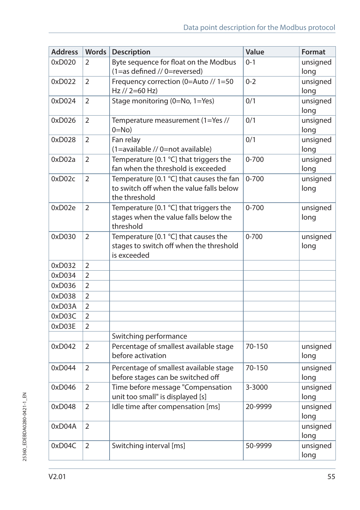| <b>Address</b> | Words          | <b>Description</b>                                                                                    | Value     | Format           |
|----------------|----------------|-------------------------------------------------------------------------------------------------------|-----------|------------------|
| 0xD020         | 2              | Byte sequence for float on the Modbus<br>(1=as defined // 0=reversed)                                 | $0 - 1$   | unsigned<br>long |
| 0xD022         | $\overline{2}$ | Frequency correction (0=Auto // 1=50<br>Hz // 2=60 Hz)                                                | $0 - 2$   | unsigned<br>long |
| 0xD024         | $\overline{2}$ | Stage monitoring (0=No, 1=Yes)                                                                        | 0/1       | unsigned<br>long |
| 0xD026         | 2              | Temperature measurement (1=Yes //<br>$0 = No$                                                         | 0/1       | unsigned<br>long |
| 0xD028         | $\overline{2}$ | Fan relay<br>(1=available // 0=not available)                                                         | 0/1       | unsigned<br>long |
| 0xD02a         | $\overline{2}$ | Temperature [0.1 °C] that triggers the<br>fan when the threshold is exceeded                          | $0 - 700$ | unsigned<br>long |
| 0xD02c         | 2              | Temperature [0.1 °C] that causes the fan<br>to switch off when the value falls below<br>the threshold | $0 - 700$ | unsigned<br>long |
| 0xD02e         | 2              | Temperature [0.1 °C] that triggers the<br>stages when the value falls below the<br>threshold          | $0 - 700$ | unsigned<br>long |
| 0xD030         | $\overline{2}$ | Temperature [0.1 °C] that causes the<br>stages to switch off when the threshold<br>is exceeded        | $0 - 700$ | unsigned<br>long |
| 0xD032         | $\overline{2}$ |                                                                                                       |           |                  |
| 0xD034         | 2              |                                                                                                       |           |                  |
| 0xD036         | 2              |                                                                                                       |           |                  |
| 0xD038         | $\overline{2}$ |                                                                                                       |           |                  |
| 0xD03A         | $\overline{2}$ |                                                                                                       |           |                  |
| 0xD03C         | $\overline{2}$ |                                                                                                       |           |                  |
| 0xD03E         | $\overline{2}$ |                                                                                                       |           |                  |
|                |                | Switching performance                                                                                 |           |                  |
| 0xD042         | 2              | Percentage of smallest available stage<br>before activation                                           | 70-150    | unsigned<br>long |
| 0xD044         | $\overline{2}$ | Percentage of smallest available stage<br>before stages can be switched off                           | 70-150    | unsigned<br>long |
| 0xD046         | $\overline{2}$ | Time before message "Compensation<br>unit too small" is displayed [s]                                 | 3-3000    | unsigned<br>long |
| 0xD048         | 2              | Idle time after compensation [ms]                                                                     | 20-9999   | unsigned<br>long |
| 0xD04A         | $\overline{2}$ |                                                                                                       |           | unsigned<br>long |
| 0xD04C         | $\overline{2}$ | Switching interval [ms]                                                                               | 50-9999   | unsigned<br>long |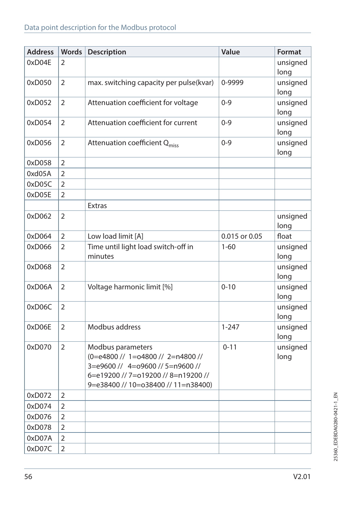| <b>Address</b> | Words          | Description                                                                                                                                                              | Value         | Format           |
|----------------|----------------|--------------------------------------------------------------------------------------------------------------------------------------------------------------------------|---------------|------------------|
| 0xD04E         | 2              |                                                                                                                                                                          |               | unsigned<br>long |
| 0xD050         | $\overline{2}$ | max. switching capacity per pulse(kvar)                                                                                                                                  | 0-9999        | unsigned<br>long |
| 0xD052         | 2              | Attenuation coefficient for voltage                                                                                                                                      | $0 - 9$       | unsigned<br>long |
| 0xD054         | $\overline{2}$ | Attenuation coefficient for current                                                                                                                                      | $0 - 9$       | unsigned<br>long |
| 0xD056         | $\overline{2}$ | Attenuation coefficient Q <sub>miss</sub>                                                                                                                                | $0 - 9$       | unsigned<br>long |
| 0xD058         | 2              |                                                                                                                                                                          |               |                  |
| 0xd05A         | $\overline{2}$ |                                                                                                                                                                          |               |                  |
| 0xD05C         | 2              |                                                                                                                                                                          |               |                  |
| 0xD05E         | $\overline{2}$ |                                                                                                                                                                          |               |                  |
|                |                | <b>Extras</b>                                                                                                                                                            |               |                  |
| 0xD062         | $\overline{2}$ |                                                                                                                                                                          |               | unsigned<br>long |
| 0xD064         | $\overline{2}$ | Low load limit [A]                                                                                                                                                       | 0.015 or 0.05 | float            |
| 0xD066         | $\overline{2}$ | Time until light load switch-off in<br>minutes                                                                                                                           | $1 - 60$      | unsigned<br>long |
| 0xD068         | $\overline{2}$ |                                                                                                                                                                          |               | unsigned<br>long |
| 0xD06A         | $\overline{2}$ | Voltage harmonic limit [%]                                                                                                                                               | $0 - 10$      | unsigned<br>long |
| 0xD06C         | $\overline{2}$ |                                                                                                                                                                          |               | unsigned<br>long |
| 0xD06E         | $\overline{2}$ | Modbus address                                                                                                                                                           | $1 - 247$     | unsigned<br>long |
| 0xD070         | $\overline{2}$ | Modbus parameters<br>(0=e4800 // 1=o4800 // 2=n4800 //<br>3=e9600 // 4=o9600 // 5=n9600 //<br>6=e19200 // 7=o19200 // 8=n19200 //<br>9=e38400 // 10=o38400 // 11=n38400) | $0 - 11$      | unsigned<br>long |
| 0xD072         | $\overline{2}$ |                                                                                                                                                                          |               |                  |
| 0xD074         | $\overline{2}$ |                                                                                                                                                                          |               |                  |
| 0xD076         | $\overline{2}$ |                                                                                                                                                                          |               |                  |
| 0xD078         | $\overline{2}$ |                                                                                                                                                                          |               |                  |
| 0xD07A         | $\overline{2}$ |                                                                                                                                                                          |               |                  |
| 0xD07C         | $\overline{2}$ |                                                                                                                                                                          |               |                  |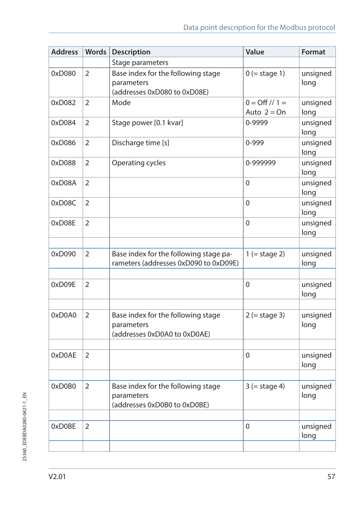| <b>Address</b> | <b>Words</b>   | Description                                                                      | Value                                  | Format           |
|----------------|----------------|----------------------------------------------------------------------------------|----------------------------------------|------------------|
|                |                | Stage parameters                                                                 |                                        |                  |
| 0xD080         | 2              | Base index for the following stage<br>parameters<br>(addresses 0xD080 to 0xD08E) | $0$ (= stage 1)                        | unsigned<br>long |
| 0xD082         | $\overline{2}$ | Mode                                                                             | $0 = \frac{Off}{1} =$<br>Auto $2 = On$ | unsigned<br>long |
| 0xD084         | 2              | Stage power [0.1 kvar]                                                           | 0-9999                                 | unsigned<br>long |
| 0xD086         | $\overline{2}$ | Discharge time [s]                                                               | 0-999                                  | unsigned<br>long |
| 0xD088         | $\overline{2}$ | Operating cycles                                                                 | 0-999999                               | unsigned<br>long |
| 0xD08A         | 2              |                                                                                  | 0                                      | unsigned<br>long |
| 0xD08C         | $\overline{2}$ |                                                                                  | $\Omega$                               | unsigned<br>long |
| 0xD08E         | $\overline{2}$ |                                                                                  | 0                                      | unsigned<br>long |
| 0xD090         | $\overline{2}$ | Base index for the following stage pa-<br>rameters (addresses 0xD090 to 0xD09E)  | $1 (= stage 2)$                        | unsigned<br>long |
| 0xD09E         | $\overline{2}$ |                                                                                  | 0                                      | unsigned<br>long |
| 0xD0A0         | 2              | Base index for the following stage<br>parameters<br>(addresses 0xD0A0 to 0xD0AE) | $2 (= stage 3)$                        | unsigned<br>long |
| 0xD0AE         | $\overline{2}$ |                                                                                  | 0                                      | unsigned<br>long |
|                |                |                                                                                  |                                        |                  |
| 0xD0B0         | $\overline{2}$ | Base index for the following stage<br>parameters<br>(addresses 0xD0B0 to 0xD0BE) | $3 (= stage 4)$                        | unsigned<br>long |
|                |                |                                                                                  |                                        |                  |
| 0xD0BE         | 2              |                                                                                  | 0                                      | unsigned<br>long |
|                |                |                                                                                  |                                        |                  |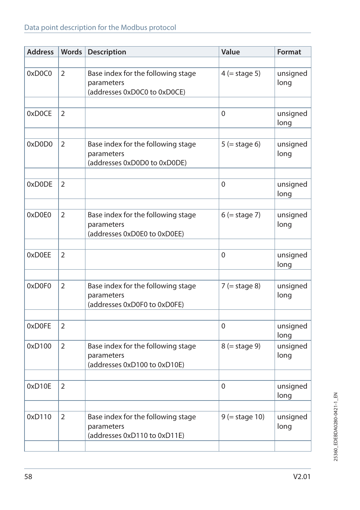## Data point description for the Modbus protocol

| <b>Address</b> | Words          | Description                                                                      | Value            | Format           |
|----------------|----------------|----------------------------------------------------------------------------------|------------------|------------------|
|                |                |                                                                                  |                  |                  |
| 0xD0C0         | 2              | Base index for the following stage<br>parameters<br>(addresses 0xD0C0 to 0xD0CE) | $4$ (= stage 5)  | unsigned<br>long |
|                |                |                                                                                  |                  |                  |
| 0xD0CE         | 2              |                                                                                  | $\mathbf{0}$     | unsigned<br>long |
|                |                |                                                                                  |                  |                  |
| 0xD0D0         | 2              | Base index for the following stage<br>parameters<br>(addresses 0xD0D0 to 0xD0DE) | $5 (= stage 6)$  | unsigned<br>long |
|                |                |                                                                                  |                  |                  |
| 0xD0DE         | $\overline{2}$ |                                                                                  | $\mathbf{0}$     | unsigned<br>long |
|                |                |                                                                                  |                  |                  |
| 0xD0E0         | 2              | Base index for the following stage<br>parameters<br>(addresses 0xD0E0 to 0xD0EE) | $6$ (= stage 7)  | unsigned<br>long |
|                |                |                                                                                  |                  |                  |
| 0xD0EE         | 2              |                                                                                  | $\mathbf{0}$     | unsigned<br>long |
|                |                |                                                                                  |                  |                  |
| 0xD0F0         | $\overline{2}$ | Base index for the following stage<br>parameters<br>(addresses 0xD0F0 to 0xD0FE) | $7$ (= stage 8)  | unsigned<br>long |
|                |                |                                                                                  |                  |                  |
| 0xD0FE         | 2              |                                                                                  | $\Omega$         | unsigned<br>long |
| 0xD100         | 2              | Base index for the following stage<br>parameters<br>(addresses 0xD100 to 0xD10E) | $8$ (= stage 9)  | unsigned<br>long |
|                |                |                                                                                  |                  |                  |
| 0xD10E         | 2              |                                                                                  | 0                | unsigned<br>long |
|                |                |                                                                                  |                  |                  |
| 0xD110         | $\overline{2}$ | Base index for the following stage<br>parameters<br>(addresses 0xD110 to 0xD11E) | $9$ (= stage 10) | unsigned<br>long |
|                |                |                                                                                  |                  |                  |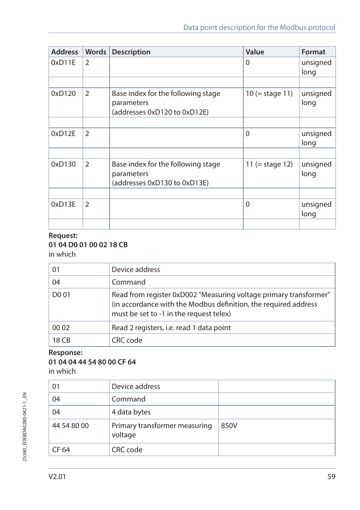| <b>Address</b> | Words          | <b>Description</b>                                                               | Value             | Format           |
|----------------|----------------|----------------------------------------------------------------------------------|-------------------|------------------|
| 0xD11E         | $\overline{2}$ |                                                                                  | 0                 | unsigned<br>long |
|                |                |                                                                                  |                   |                  |
| 0xD120         | 2              | Base index for the following stage<br>parameters<br>(addresses 0xD120 to 0xD12E) | $10 (= stage 11)$ | unsigned<br>long |
|                |                |                                                                                  |                   |                  |
| 0xD12E         | $\overline{2}$ |                                                                                  | $\Omega$          | unsigned<br>long |
|                |                |                                                                                  |                   |                  |
| 0xD130         | $\overline{2}$ | Base index for the following stage<br>parameters<br>(addresses 0xD130 to 0xD13E) | 11 (= stage 12)   | unsigned<br>long |
|                |                |                                                                                  |                   |                  |
| 0xD13E         | $\overline{2}$ |                                                                                  | $\Omega$          | unsigned<br>long |
|                |                |                                                                                  |                   |                  |

#### **Request: 01 04 D0 01 00 02 18 CB** in which

| 01                | Device address                                                                                                                                                                  |
|-------------------|---------------------------------------------------------------------------------------------------------------------------------------------------------------------------------|
| 04                | Command                                                                                                                                                                         |
| D <sub>0</sub> 01 | Read from register 0xD002 "Measuring voltage primary transformer"<br>(in accordance with the Modbus definition, the required address<br>must be set to -1 in the request telex) |
| 00 02             | Read 2 registers, i.e. read 1 data point                                                                                                                                        |
| 18 CB             | CRC code                                                                                                                                                                        |

#### **Response: 01 04 04 44 54 80 00 CF 64**  in which

| 01          | Device address                           |      |
|-------------|------------------------------------------|------|
| 04          | Command                                  |      |
| 04          | 4 data bytes                             |      |
| 44 54 80 00 | Primary transformer measuring<br>voltage | 850V |
| CF 64       | CRC code                                 |      |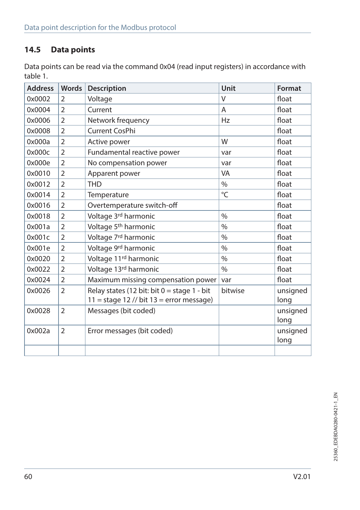# **14.5 Data points**

Data points can be read via the command 0x04 (read input registers) in accordance with table 1.

| <b>Address</b> | <b>Words</b>   | Description                                   | Unit          | Format   |
|----------------|----------------|-----------------------------------------------|---------------|----------|
| 0x0002         | 2              | Voltage                                       | $\vee$        | float    |
| 0x0004         | $\overline{2}$ | Current                                       | A             | float    |
| 0x0006         | 2              | Network frequency                             | Hz            | float    |
| 0x0008         | $\overline{2}$ | Current CosPhi                                |               | float    |
| 0x000a         | $\overline{2}$ | Active power                                  | W             | float    |
| 0x000c         | $\overline{2}$ | Fundamental reactive power                    | var           | float    |
| 0x000e         | $\overline{2}$ | No compensation power                         | var           | float    |
| 0x0010         | $\overline{2}$ | Apparent power                                | VA            | float    |
| 0x0012         | $\overline{2}$ | <b>THD</b>                                    | $\%$          | float    |
| 0x0014         | $\overline{2}$ | Temperature                                   | °C            | float    |
| 0x0016         | $\overline{2}$ | Overtemperature switch-off                    |               | float    |
| 0x0018         | $\overline{2}$ | Voltage 3rd harmonic                          | $\%$          | float    |
| 0x001a         | $\overline{2}$ | Voltage 5 <sup>th</sup> harmonic              | $\%$          | float    |
| 0x001c         | 2              | Voltage 7 <sup>rd</sup> harmonic              | $\frac{0}{0}$ | float    |
| 0x001e         | $\overline{2}$ | Voltage 9rd harmonic                          | $\%$          | float    |
| 0x0020         | $\overline{2}$ | Voltage 11 <sup>rd</sup> harmonic             | $\%$          | float    |
| 0x0022         | $\overline{2}$ | Voltage 13rd harmonic                         | $\%$          | float    |
| 0x0024         | $\overline{2}$ | Maximum missing compensation power            | var           | float    |
| 0x0026         | $\overline{2}$ | Relay states (12 bit: bit $0 =$ stage 1 - bit | bitwise       | unsigned |
|                |                | $11 = stage 12$ // bit $13 = error message$ ) |               | long     |
| 0x0028         | $\overline{2}$ | Messages (bit coded)                          |               | unsigned |
|                |                |                                               |               | long     |
| 0x002a         | $\overline{2}$ | Error messages (bit coded)                    |               | unsigned |
|                |                |                                               |               | long     |
|                |                |                                               |               |          |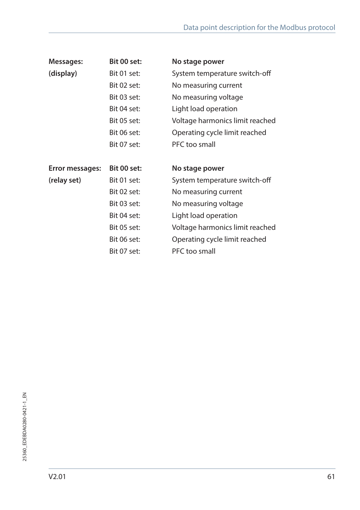| Messages:       | Bit 00 set: | No stage power                  |
|-----------------|-------------|---------------------------------|
| (display)       | Bit 01 set: | System temperature switch-off   |
|                 | Bit 02 set: | No measuring current            |
|                 | Bit 03 set: | No measuring voltage            |
|                 | Bit 04 set: | Light load operation            |
|                 | Bit 05 set: | Voltage harmonics limit reached |
|                 | Bit 06 set: | Operating cycle limit reached   |
|                 | Bit 07 set: | PFC too small                   |
|                 |             |                                 |
| Error messages: | Bit 00 set: | No stage power                  |
| (relay set)     | Bit 01 set: | System temperature switch-off   |
|                 | Bit 02 set: | No measuring current            |
|                 | Bit 03 set: | No measuring voltage            |
|                 | Bit 04 set: | Light load operation            |
|                 | Bit 05 set: | Voltage harmonics limit reached |
|                 | Bit 06 set: | Operating cycle limit reached   |
|                 | Bit 07 set: | PFC too small                   |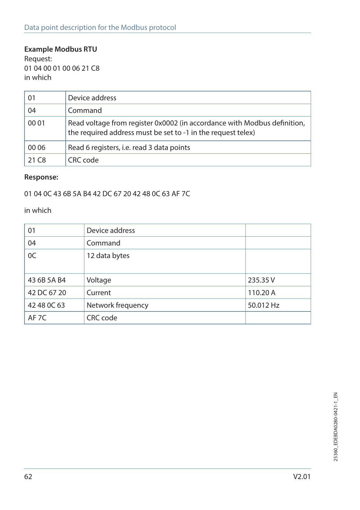## **Example Modbus RTU**

Request: 01 04 00 01 00 06 21 C8 in which

| 01                | Device address                                                                                                                           |
|-------------------|------------------------------------------------------------------------------------------------------------------------------------------|
| 04                | Command                                                                                                                                  |
| 00 01             | Read voltage from register 0x0002 (in accordance with Modbus definition,<br>the required address must be set to -1 in the request telex) |
| 00 06             | Read 6 registers, i.e. read 3 data points                                                                                                |
| 21 C <sub>8</sub> | CRC code                                                                                                                                 |

#### **Response:**

01 04 0C 43 6B 5A B4 42 DC 67 20 42 48 0C 63 AF 7C

in which

| 01               | Device address    |           |
|------------------|-------------------|-----------|
| 04               | Command           |           |
| 0C               | 12 data bytes     |           |
|                  |                   |           |
| 43 6B 5A B4      | Voltage           | 235.35 V  |
| 42 DC 67 20      | Current           | 110.20 A  |
| 42 48 0C 63      | Network frequency | 50.012 Hz |
| AF <sub>7C</sub> | CRC code          |           |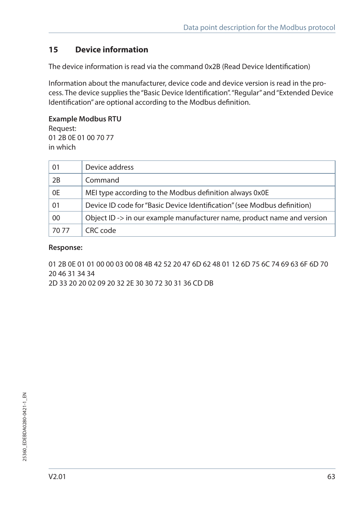# **15 Device information**

The device information is read via the command 0x2B (Read Device Identification)

Information about the manufacturer, device code and device version is read in the process. The device supplies the "Basic Device Identification". "Regular" and "Extended Device Identification" are optional according to the Modbus definition.

#### **Example Modbus RTU**

Request: 01 2B 0E 01 00 70 77 in which

| 01    | Device address                                                           |
|-------|--------------------------------------------------------------------------|
| 2B    | Command                                                                  |
| 0E    | MEI type according to the Modbus definition always 0x0E                  |
| 01    | Device ID code for "Basic Device Identification" (see Modbus definition) |
| 00    | Object ID -> in our example manufacturer name, product name and version  |
| 70.77 | CRC code                                                                 |

#### **Response:**

01 2B 0E 01 01 00 00 03 00 08 4B 42 52 20 47 6D 62 48 01 12 6D 75 6C 74 69 63 6F 6D 70 20 46 31 34 34

2D 33 20 20 02 09 20 32 2E 30 30 72 30 31 36 CD DB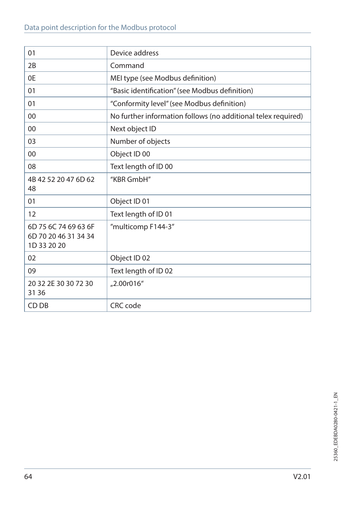| 01                                                          | Device address                                                |
|-------------------------------------------------------------|---------------------------------------------------------------|
| 2B                                                          | Command                                                       |
| 0E                                                          | MEI type (see Modbus definition)                              |
| 01                                                          | "Basic identification" (see Modbus definition)                |
| 01                                                          | "Conformity level" (see Modbus definition)                    |
| 00                                                          | No further information follows (no additional telex required) |
| 00                                                          | Next object ID                                                |
| 03                                                          | Number of objects                                             |
| $00\,$                                                      | Object ID 00                                                  |
| 08                                                          | Text length of ID 00                                          |
| 4B 42 52 20 47 6D 62<br>48                                  | "KBR GmbH"                                                    |
| 01                                                          | Object ID 01                                                  |
| 12                                                          | Text length of ID 01                                          |
| 6D 75 6C 74 69 63 6F<br>6D 70 20 46 31 34 34<br>1D 33 20 20 | "multicomp F144-3"                                            |
| 02                                                          | Object ID 02                                                  |
| 09                                                          | Text length of ID 02                                          |
| 20 32 2E 30 30 72 30<br>31 36                               | "2.00r016"                                                    |
| CD DB                                                       | CRC code                                                      |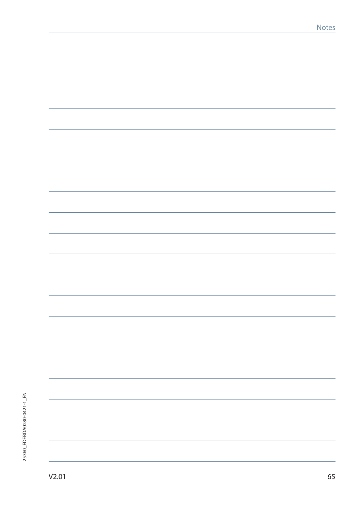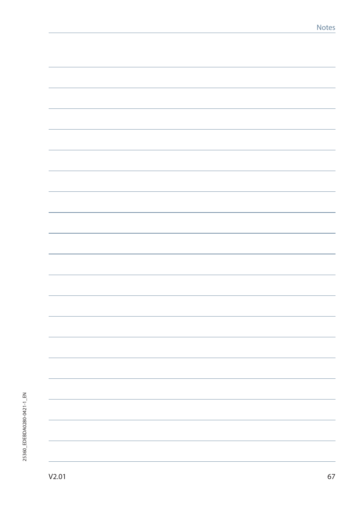